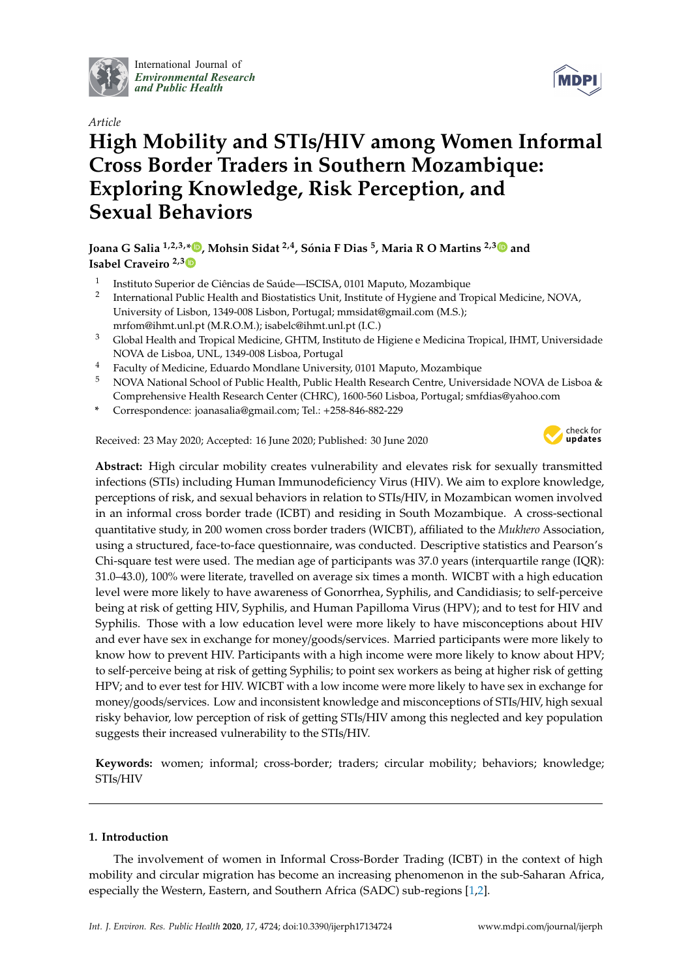

International Journal of *[Environmental Research](http://www.mdpi.com/journal/ijerph) and Public Health*



# *Article* **High Mobility and STIs**/**HIV among Women Informal Cross Border Traders in Southern Mozambique: Exploring Knowledge, Risk Perception, and Sexual Behaviors**

# **Joana G Salia 1,2,3,\* [,](https://orcid.org/0000-0003-4761-1805) Mohsin Sidat 2,4, Sónia F Dias <sup>5</sup> , Maria R O Martins 2,[3](https://orcid.org/0000-0002-7941-0285) and Isabel Craveiro 2,[3](https://orcid.org/0000-0003-4348-1986)**

- 1 Instituto Superior de Ciências de Saúde—ISCISA, 0101 Maputo, Mozambique
- 2 International Public Health and Biostatistics Unit, Institute of Hygiene and Tropical Medicine, NOVA, University of Lisbon, 1349-008 Lisbon, Portugal; mmsidat@gmail.com (M.S.); mrfom@ihmt.unl.pt (M.R.O.M.); isabelc@ihmt.unl.pt (I.C.)
- <sup>3</sup> Global Health and Tropical Medicine, GHTM, Instituto de Higiene e Medicina Tropical, IHMT, Universidade NOVA de Lisboa, UNL, 1349-008 Lisboa, Portugal
- <sup>4</sup> Faculty of Medicine, Eduardo Mondlane University, 0101 Maputo, Mozambique
- <sup>5</sup> NOVA National School of Public Health, Public Health Research Centre, Universidade NOVA de Lisboa & Comprehensive Health Research Center (CHRC), 1600-560 Lisboa, Portugal; smfdias@yahoo.com
- **\*** Correspondence: joanasalia@gmail.com; Tel.: +258-846-882-229

Received: 23 May 2020; Accepted: 16 June 2020; Published: 30 June 2020



**Abstract:** High circular mobility creates vulnerability and elevates risk for sexually transmitted infections (STIs) including Human Immunodeficiency Virus (HIV). We aim to explore knowledge, perceptions of risk, and sexual behaviors in relation to STIs/HIV, in Mozambican women involved in an informal cross border trade (ICBT) and residing in South Mozambique. A cross-sectional quantitative study, in 200 women cross border traders (WICBT), affiliated to the *Mukhero* Association, using a structured, face-to-face questionnaire, was conducted. Descriptive statistics and Pearson's Chi-square test were used. The median age of participants was 37.0 years (interquartile range (IQR): 31.0–43.0), 100% were literate, travelled on average six times a month. WICBT with a high education level were more likely to have awareness of Gonorrhea, Syphilis, and Candidiasis; to self-perceive being at risk of getting HIV, Syphilis, and Human Papilloma Virus (HPV); and to test for HIV and Syphilis. Those with a low education level were more likely to have misconceptions about HIV and ever have sex in exchange for money/goods/services. Married participants were more likely to know how to prevent HIV. Participants with a high income were more likely to know about HPV; to self-perceive being at risk of getting Syphilis; to point sex workers as being at higher risk of getting HPV; and to ever test for HIV. WICBT with a low income were more likely to have sex in exchange for money/goods/services. Low and inconsistent knowledge and misconceptions of STIs/HIV, high sexual risky behavior, low perception of risk of getting STIs/HIV among this neglected and key population suggests their increased vulnerability to the STIs/HIV.

**Keywords:** women; informal; cross-border; traders; circular mobility; behaviors; knowledge; STIs/HIV

## **1. Introduction**

The involvement of women in Informal Cross-Border Trading (ICBT) in the context of high mobility and circular migration has become an increasing phenomenon in the sub-Saharan Africa, especially the Western, Eastern, and Southern Africa (SADC) sub-regions [\[1,](#page-15-0)[2\]](#page-15-1).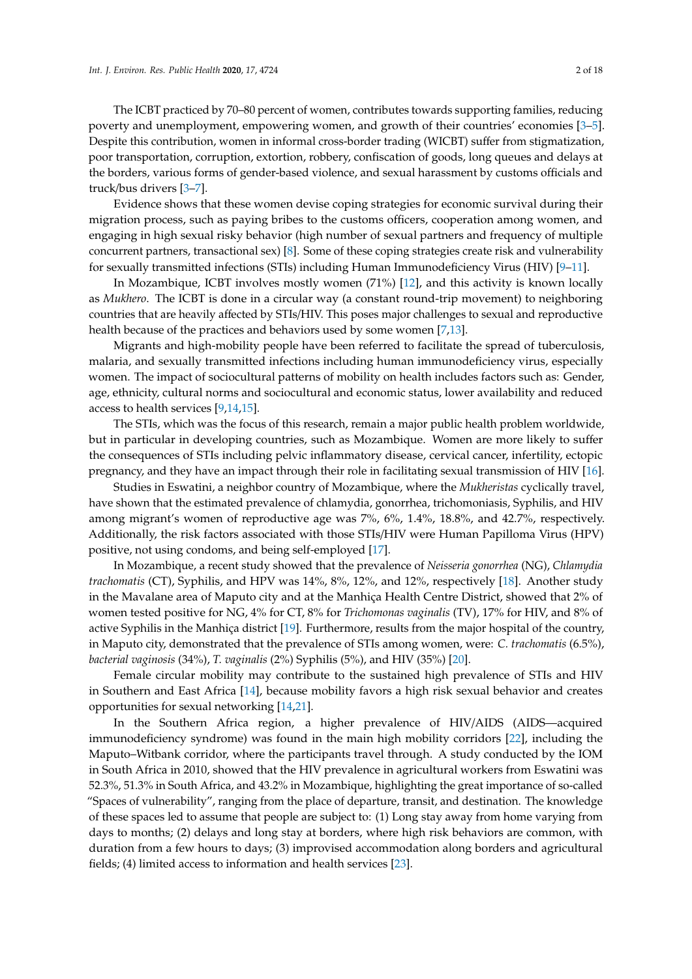The ICBT practiced by 70–80 percent of women, contributes towards supporting families, reducing poverty and unemployment, empowering women, and growth of their countries' economies [\[3](#page-15-2)[–5\]](#page-15-3). Despite this contribution, women in informal cross-border trading (WICBT) suffer from stigmatization, poor transportation, corruption, extortion, robbery, confiscation of goods, long queues and delays at the borders, various forms of gender-based violence, and sexual harassment by customs officials and truck/bus drivers [\[3–](#page-15-2)[7\]](#page-15-4).

Evidence shows that these women devise coping strategies for economic survival during their migration process, such as paying bribes to the customs officers, cooperation among women, and engaging in high sexual risky behavior (high number of sexual partners and frequency of multiple concurrent partners, transactional sex) [\[8\]](#page-15-5). Some of these coping strategies create risk and vulnerability for sexually transmitted infections (STIs) including Human Immunodeficiency Virus (HIV) [\[9–](#page-15-6)[11\]](#page-15-7).

In Mozambique, ICBT involves mostly women (71%) [\[12\]](#page-15-8), and this activity is known locally as *Mukhero*. The ICBT is done in a circular way (a constant round-trip movement) to neighboring countries that are heavily affected by STIs/HIV. This poses major challenges to sexual and reproductive health because of the practices and behaviors used by some women [\[7](#page-15-4)[,13\]](#page-15-9).

Migrants and high-mobility people have been referred to facilitate the spread of tuberculosis, malaria, and sexually transmitted infections including human immunodeficiency virus, especially women. The impact of sociocultural patterns of mobility on health includes factors such as: Gender, age, ethnicity, cultural norms and sociocultural and economic status, lower availability and reduced access to health services [\[9](#page-15-6)[,14](#page-15-10)[,15\]](#page-15-11).

The STIs, which was the focus of this research, remain a major public health problem worldwide, but in particular in developing countries, such as Mozambique. Women are more likely to suffer the consequences of STIs including pelvic inflammatory disease, cervical cancer, infertility, ectopic pregnancy, and they have an impact through their role in facilitating sexual transmission of HIV [\[16\]](#page-15-12).

Studies in Eswatini, a neighbor country of Mozambique, where the *Mukheristas* cyclically travel, have shown that the estimated prevalence of chlamydia, gonorrhea, trichomoniasis, Syphilis, and HIV among migrant's women of reproductive age was 7%, 6%, 1.4%, 18.8%, and 42.7%, respectively. Additionally, the risk factors associated with those STIs/HIV were Human Papilloma Virus (HPV) positive, not using condoms, and being self-employed [\[17\]](#page-15-13).

In Mozambique, a recent study showed that the prevalence of *Neisseria gonorrhea* (NG), *Chlamydia trachomatis* (CT), Syphilis, and HPV was 14%, 8%, 12%, and 12%, respectively [\[18\]](#page-16-0). Another study in the Mavalane area of Maputo city and at the Manhiça Health Centre District, showed that 2% of women tested positive for NG, 4% for CT, 8% for *Trichomonas vaginalis* (TV), 17% for HIV, and 8% of active Syphilis in the Manhiça district [\[19\]](#page-16-1). Furthermore, results from the major hospital of the country, in Maputo city, demonstrated that the prevalence of STIs among women, were: *C. trachomatis* (6.5%), *bacterial vaginosis* (34%), *T. vaginalis* (2%) Syphilis (5%), and HIV (35%) [\[20\]](#page-16-2).

Female circular mobility may contribute to the sustained high prevalence of STIs and HIV in Southern and East Africa [\[14\]](#page-15-10), because mobility favors a high risk sexual behavior and creates opportunities for sexual networking [\[14,](#page-15-10)[21\]](#page-16-3).

In the Southern Africa region, a higher prevalence of HIV/AIDS (AIDS—acquired immunodeficiency syndrome) was found in the main high mobility corridors [\[22\]](#page-16-4), including the Maputo–Witbank corridor, where the participants travel through. A study conducted by the IOM in South Africa in 2010, showed that the HIV prevalence in agricultural workers from Eswatini was 52.3%, 51.3% in South Africa, and 43.2% in Mozambique, highlighting the great importance of so-called "Spaces of vulnerability", ranging from the place of departure, transit, and destination. The knowledge of these spaces led to assume that people are subject to: (1) Long stay away from home varying from days to months; (2) delays and long stay at borders, where high risk behaviors are common, with duration from a few hours to days; (3) improvised accommodation along borders and agricultural fields; (4) limited access to information and health services [\[23\]](#page-16-5).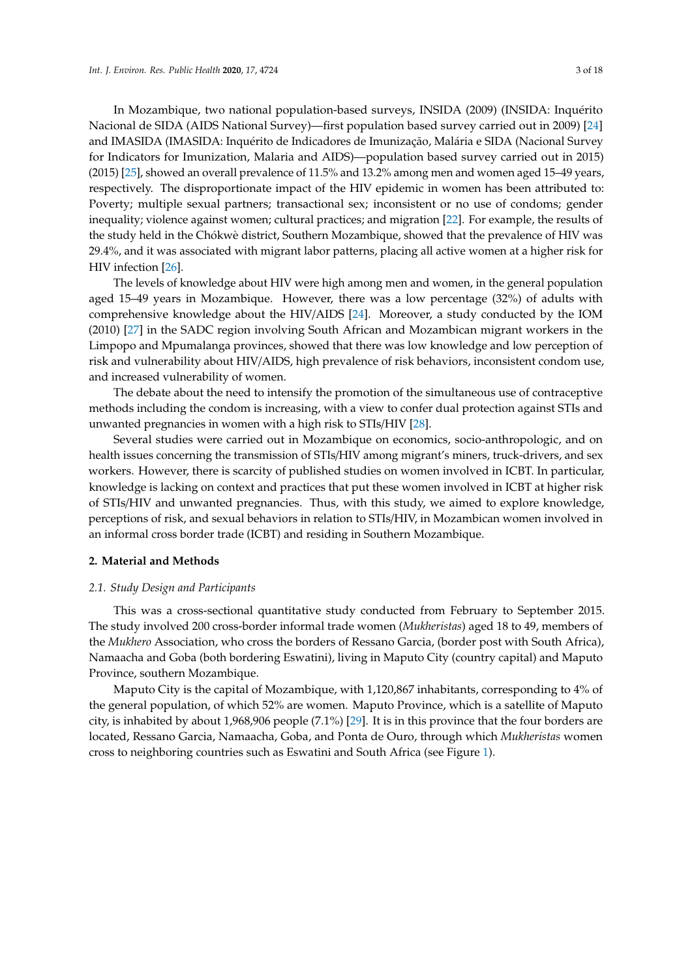In Mozambique, two national population-based surveys, INSIDA (2009) (INSIDA: Inquérito Nacional de SIDA (AIDS National Survey)—first population based survey carried out in 2009) [\[24\]](#page-16-6) and IMASIDA (IMASIDA: Inquérito de Indicadores de Imunização, Malária e SIDA (Nacional Survey for Indicators for Imunization, Malaria and AIDS)—population based survey carried out in 2015) (2015) [\[25\]](#page-16-7), showed an overall prevalence of 11.5% and 13.2% among men and women aged 15–49 years, respectively. The disproportionate impact of the HIV epidemic in women has been attributed to: Poverty; multiple sexual partners; transactional sex; inconsistent or no use of condoms; gender inequality; violence against women; cultural practices; and migration [\[22\]](#page-16-4). For example, the results of the study held in the Chókwè district, Southern Mozambique, showed that the prevalence of HIV was 29.4%, and it was associated with migrant labor patterns, placing all active women at a higher risk for HIV infection [\[26\]](#page-16-8).

The levels of knowledge about HIV were high among men and women, in the general population aged 15–49 years in Mozambique. However, there was a low percentage (32%) of adults with comprehensive knowledge about the HIV/AIDS [\[24\]](#page-16-6). Moreover, a study conducted by the IOM (2010) [\[27\]](#page-16-9) in the SADC region involving South African and Mozambican migrant workers in the Limpopo and Mpumalanga provinces, showed that there was low knowledge and low perception of risk and vulnerability about HIV/AIDS, high prevalence of risk behaviors, inconsistent condom use, and increased vulnerability of women.

The debate about the need to intensify the promotion of the simultaneous use of contraceptive methods including the condom is increasing, with a view to confer dual protection against STIs and unwanted pregnancies in women with a high risk to STIs/HIV [\[28\]](#page-16-10).

Several studies were carried out in Mozambique on economics, socio-anthropologic, and on health issues concerning the transmission of STIs/HIV among migrant's miners, truck-drivers, and sex workers. However, there is scarcity of published studies on women involved in ICBT. In particular, knowledge is lacking on context and practices that put these women involved in ICBT at higher risk of STIs/HIV and unwanted pregnancies. Thus, with this study, we aimed to explore knowledge, perceptions of risk, and sexual behaviors in relation to STIs/HIV, in Mozambican women involved in an informal cross border trade (ICBT) and residing in Southern Mozambique.

#### **2. Material and Methods**

#### *2.1. Study Design and Participants*

This was a cross-sectional quantitative study conducted from February to September 2015. The study involved 200 cross-border informal trade women (*Mukheristas*) aged 18 to 49, members of the *Mukhero* Association, who cross the borders of Ressano Garcia, (border post with South Africa), Namaacha and Goba (both bordering Eswatini), living in Maputo City (country capital) and Maputo Province, southern Mozambique.

Maputo City is the capital of Mozambique, with 1,120,867 inhabitants, corresponding to 4% of the general population, of which 52% are women. Maputo Province, which is a satellite of Maputo city, is inhabited by about 1,968,906 people (7.1%) [\[29\]](#page-16-11). It is in this province that the four borders are located, Ressano Garcia, Namaacha, Goba, and Ponta de Ouro, through which *Mukheristas* women cross to neighboring countries such as Eswatini and South Africa (see Figure [1\)](#page-3-0).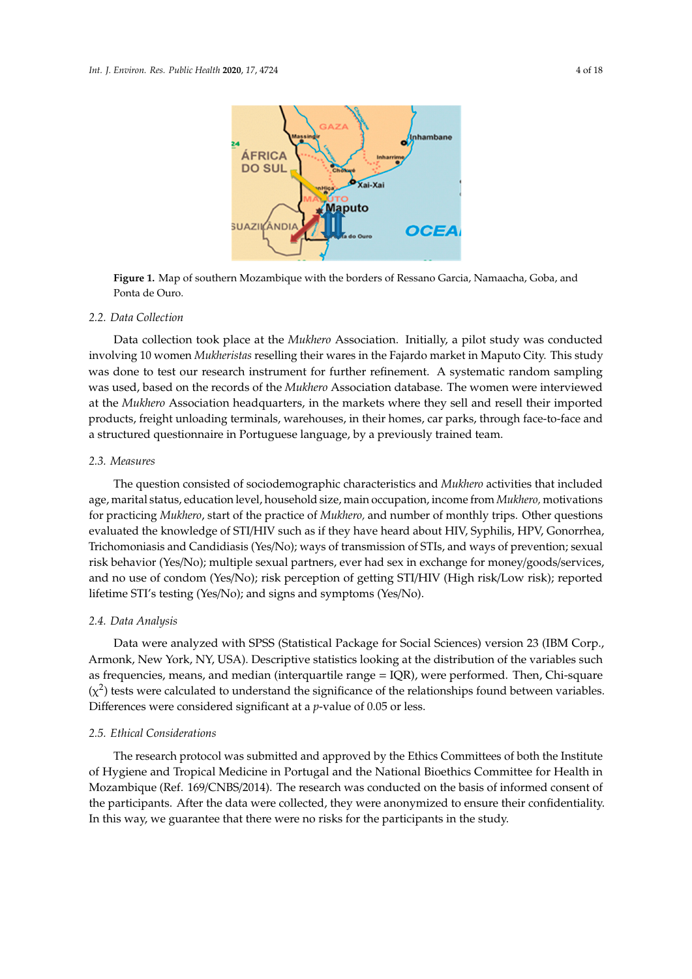<span id="page-3-0"></span>

**Figure 1.** Map of southern Mozambique with the borders of Ressano Garcia, Namaacha, Goba, and **Figure 1.** Map of southern Mozambique with the borders of Ressano Garcia, Namaacha, Goba, and Ponta de Ouro. Ponta de Ouro.

# *2.2. Data Collection 2.2. Data Collection*

Data collection took place at the *Mukhero* Association. Initially, a pilot study was conducted Data collection took place at the *Mukhero* Association. Initially, a pilot study was conducted involving 10 women *Mukheristas* reselling their wares in the Fajardo market in Maputo City. This involving 10 women *Mukheristas* reselling their wares in the Fajardo market in Maputo City. This study was done to test our research instrument for further refinement. A systematic random sampling was used, based on the records of the *Mukhero* Association database. The women were interviewed was used, based on the records of the *Mukhero* Association database. The women were interviewed at the *Mukhero* Association headquarters, in the markets where they sell and resell their imported at the *Mukhero* Association headquarters, in the markets where they sell and resell their imported products, freight unloading terminals, warehouses, in their homes, car parks, through face-to-face products, freight unloading terminals, warehouses, in their homes, car parks, through face-to-face and a structured questionnaire in Portuguese language, by a previously trained team.

# *2.3. Measures 2.3. Measures*

The question consisted of sociodemographic characteristics and *Mukhero* activities that included The question consisted of sociodemographic characteristics and *Mukhero* activities that included age, marital status, education level, household size, main occupation, income from *Mukhero,* age, marital status, education level, household size, main occupation, income from *Mukhero,* motivations for practicing *Mukhero*, start of the practice of *Mukhero*, and number of monthly trips. Other questions for the practice of *Mukhero*, and number of monthly trips. Other questions Other questions evaluated the knowledge of STI/HIV such as if they have heard about HIV, Syphilis, evaluated the knowledge of STI/HIV such as if they have heard about HIV, Syphilis, HPV, Gonorrhea, Trichomoniasis and Candidiasis (Yes/No); ways of transmission of STIs, and ways of prevention; sexual  $\cdots$ of prevention; sexual risk behavior (Yes/No); multiple sexual partners, ever had sex in exchange for risk behavior (Yes/No); multiple sexual partners, ever had sex in exchange for money/goods/services, and no use of condom (Yes/No); risk perception of getting STI/HIV (High risk/Low risk); reported<br>We define lifetime STI's testing (Yes/No); and signs and symptoms (Yes/No).

# *2.4. Data Analysis 2.4. Data Analysis*

Armonk, New York, NY, USA). Descriptive statistics looking at the distribution of the variables such as frequencies, means, and median (interquartile range = IQR), were performed. Then, Chi-square  $(x^2)$  tests were calculated to understand the significance of the relationships found between variables.  $\alpha$ <sup>2</sup> tests were capitaled configured to understand the significance of  $\alpha$   $\beta$   $\beta$   $\beta$   $\gamma$  and  $\gamma$ Differences were considered significant at a *p*-value of 0.05 or less. Differences were considered significant at a *p*-value of 0.05 or less. Data were analyzed with SPSS (Statistical Package for Social Sciences) version 23 (IBM Corp.,

#### *2.5. Ethical Considerations*

of Hygiene and Tropical Medicine in Portugal and the National Bioethics Committee for Health in Mozambique (Ref. 169/CNBS/2014). The research was conducted on the basis of informed consent of the participants. After the data were collected, they were anonymized to ensure their confidentiality. In this way, we guarantee that there were no risks for the participants in the study. confidentiality. In this way, we guarantee that there were no risks for the participants in the participants in The research protocol was submitted and approved by the Ethics Committees of both the Institute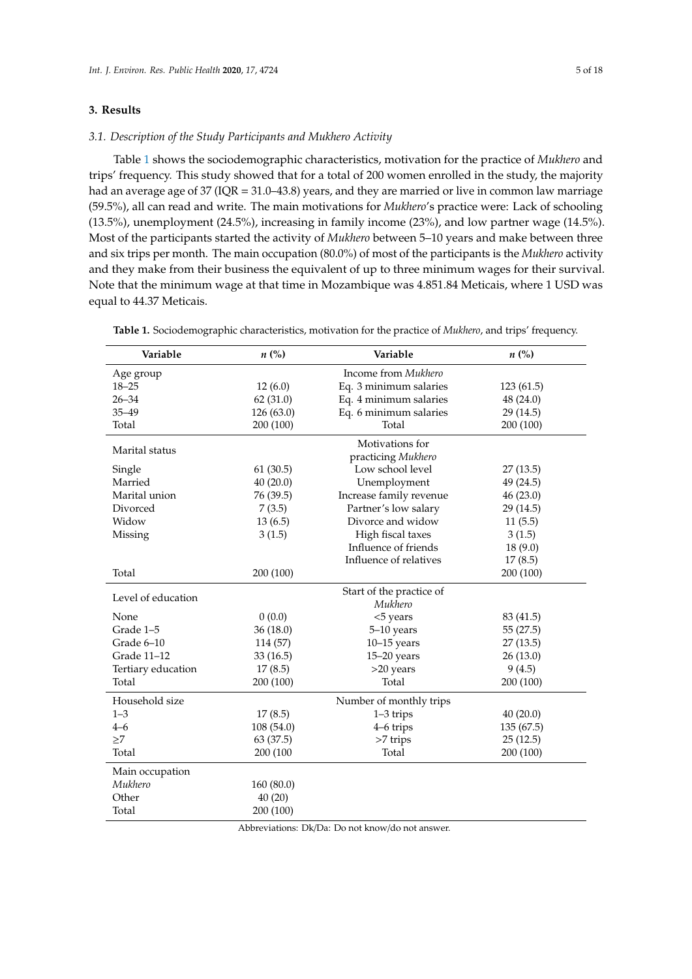#### **3. Results**

#### *3.1. Description of the Study Participants and Mukhero Activity*

Table [1](#page-4-0) shows the sociodemographic characteristics, motivation for the practice of *Mukhero* and trips' frequency. This study showed that for a total of 200 women enrolled in the study, the majority had an average age of 37 (IQR = 31.0–43.8) years, and they are married or live in common law marriage (59.5%), all can read and write. The main motivations for *Mukhero*'s practice were: Lack of schooling (13.5%), unemployment (24.5%), increasing in family income (23%), and low partner wage (14.5%). Most of the participants started the activity of *Mukhero* between 5–10 years and make between three and six trips per month. The main occupation (80.0%) of most of the participants is the *Mukhero* activity and they make from their business the equivalent of up to three minimum wages for their survival. Note that the minimum wage at that time in Mozambique was 4.851.84 Meticais, where 1 USD was equal to 44.37 Meticais.

| Variable           | $n\ (\%)$  | Variable                              | $n\left(\%\right)$ |
|--------------------|------------|---------------------------------------|--------------------|
| Age group          |            | Income from Mukhero                   |                    |
| $18 - 25$          | 12(6.0)    | Eq. 3 minimum salaries                | 123(61.5)          |
| $26 - 34$          | 62(31.0)   | Eq. 4 minimum salaries                | 48 (24.0)          |
| $35 - 49$          | 126 (63.0) | Eq. 6 minimum salaries                | 29 (14.5)          |
| Total              | 200 (100)  | Total                                 | 200 (100)          |
| Marital status     |            | Motivations for<br>practicing Mukhero |                    |
| Single             | 61(30.5)   | Low school level                      | 27(13.5)           |
| Married            | 40(20.0)   | Unemployment                          | 49 (24.5)          |
| Marital union      | 76 (39.5)  | Increase family revenue               | 46(23.0)           |
| Divorced           | 7(3.5)     | Partner's low salary                  | 29 (14.5)          |
| Widow              | 13(6.5)    | Divorce and widow                     | 11(5.5)            |
| Missing            | 3(1.5)     | High fiscal taxes                     | 3(1.5)             |
|                    |            | Influence of friends                  | 18 (9.0)           |
|                    |            | Influence of relatives                | 17(8.5)            |
| Total              | 200 (100)  |                                       | 200 (100)          |
| Level of education |            | Start of the practice of<br>Mukhero   |                    |
| None               | 0(0.0)     | <5 years                              | 83 (41.5)          |
| Grade 1-5          | 36(18.0)   | 5-10 years                            | 55(27.5)           |
| Grade 6-10         | 114 (57)   | $10-15$ years                         | 27(13.5)           |
| Grade 11-12        | 33(16.5)   | $15-20$ years                         | 26(13.0)           |
| Tertiary education | 17(8.5)    | >20 years                             | 9(4.5)             |
| Total              | 200 (100)  | Total                                 | 200 (100)          |
| Household size     |            | Number of monthly trips               |                    |
| $1 - 3$            | 17(8.5)    | $1-3$ trips                           | 40(20.0)           |
| $4 - 6$            | 108 (54.0) | 4-6 trips                             | 135 (67.5)         |
| $\geq$ 7           | 63 (37.5)  | >7 trips                              | 25(12.5)           |
| Total              | 200 (100   | Total                                 | 200 (100)          |
| Main occupation    |            |                                       |                    |
| Mukhero            | 160 (80.0) |                                       |                    |
| Other              | 40(20)     |                                       |                    |
| Total              | 200 (100)  |                                       |                    |

<span id="page-4-0"></span>**Table 1.** Sociodemographic characteristics, motivation for the practice of *Mukhero*, and trips' frequency.

Abbreviations: Dk/Da: Do not know/do not answer.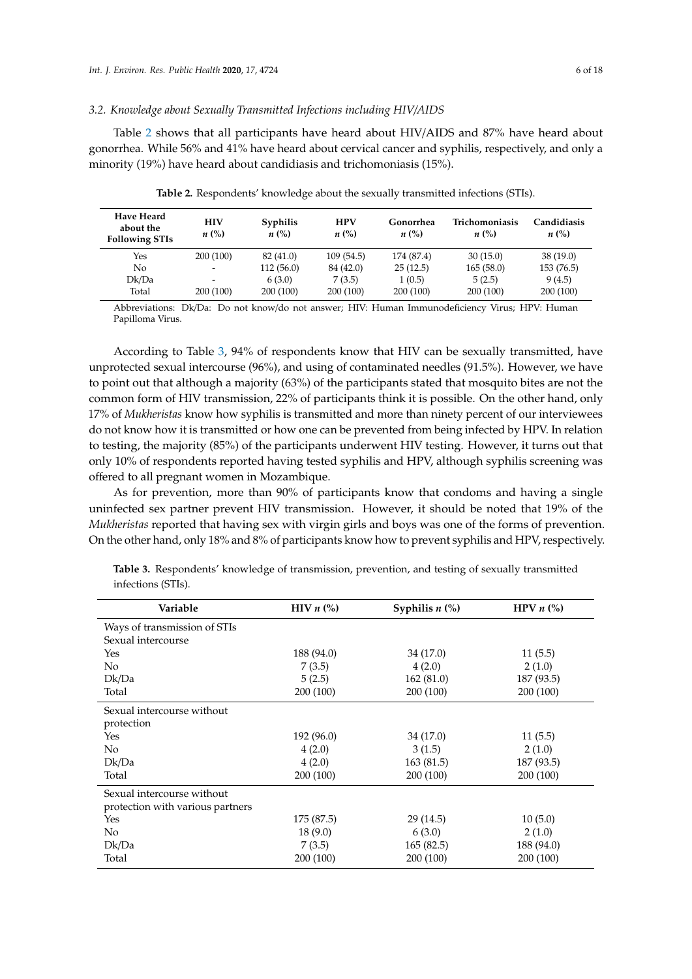#### *3.2. Knowledge about Sexually Transmitted Infections including HIV*/*AIDS*

Table [2](#page-5-0) shows that all participants have heard about HIV/AIDS and 87% have heard about gonorrhea. While 56% and 41% have heard about cervical cancer and syphilis, respectively, and only a minority (19%) have heard about candidiasis and trichomoniasis (15%).

<span id="page-5-0"></span>

| <b>Have Heard</b><br>about the<br><b>Following STIs</b> | <b>HIV</b><br>$n\left(\%\right)$ | <b>Syphilis</b><br>$n\left(\%\right)$ | <b>HPV</b><br>$n\left(\%\right)$ |            | <b>Trichomoniasis</b><br>$n\left(\%\right)$ | Candidiasis<br>$n\ (\%)$ |  |
|---------------------------------------------------------|----------------------------------|---------------------------------------|----------------------------------|------------|---------------------------------------------|--------------------------|--|
| Yes                                                     | 200(100)                         | 82 (41.0)                             | 109(54.5)                        | 174 (87.4) | 30(15.0)                                    | 38(19.0)                 |  |
| No                                                      | $\overline{\phantom{0}}$         | 112(56.0)                             | 84 (42.0)                        | 25(12.5)   | 165(58.0)                                   | 153 (76.5)               |  |
| Dk/Da                                                   | $\overline{\phantom{0}}$         | 6(3.0)                                | 7(3.5)                           | 1(0.5)     | 5(2.5)                                      | 9(4.5)                   |  |
| Total                                                   | 200 (100)                        | 200 (100)                             | 200(100)                         | 200(100)   | 200 (100)                                   | 200 (100)                |  |

**Table 2.** Respondents' knowledge about the sexually transmitted infections (STIs).

Abbreviations: Dk/Da: Do not know/do not answer; HIV: Human Immunodeficiency Virus; HPV: Human Papilloma Virus.

According to Table [3,](#page-5-1) 94% of respondents know that HIV can be sexually transmitted, have unprotected sexual intercourse (96%), and using of contaminated needles (91.5%). However, we have to point out that although a majority (63%) of the participants stated that mosquito bites are not the common form of HIV transmission, 22% of participants think it is possible. On the other hand, only 17% of *Mukheristas* know how syphilis is transmitted and more than ninety percent of our interviewees do not know how it is transmitted or how one can be prevented from being infected by HPV. In relation to testing, the majority (85%) of the participants underwent HIV testing. However, it turns out that only 10% of respondents reported having tested syphilis and HPV, although syphilis screening was offered to all pregnant women in Mozambique.

As for prevention, more than 90% of participants know that condoms and having a single uninfected sex partner prevent HIV transmission. However, it should be noted that 19% of the *Mukheristas* reported that having sex with virgin girls and boys was one of the forms of prevention. On the other hand, only 18% and 8% of participants know how to prevent syphilis and HPV, respectively.

| Variable                         | HIV $n$ (%) | Syphilis $n$ $\left(\frac{9}{6}\right)$ | HPV $n$ (%) |
|----------------------------------|-------------|-----------------------------------------|-------------|
| Ways of transmission of STIs     |             |                                         |             |
| Sexual intercourse               |             |                                         |             |
| Yes                              | 188 (94.0)  | 34 (17.0)                               | 11(5.5)     |
| No                               | 7(3.5)      | 4(2.0)                                  | 2(1.0)      |
| Dk/Da                            | 5(2.5)      | 162(81.0)                               | 187 (93.5)  |
| Total                            | 200 (100)   | 200 (100)                               | 200 (100)   |
| Sexual intercourse without       |             |                                         |             |
| protection                       |             |                                         |             |
| Yes                              | 192 (96.0)  | 34 (17.0)                               | 11(5.5)     |
| No                               | 4(2.0)      | 3(1.5)                                  | 2(1.0)      |
| Dk/Da                            | 4(2.0)      | 163(81.5)                               | 187 (93.5)  |
| Total                            | 200 (100)   | 200 (100)                               | 200 (100)   |
| Sexual intercourse without       |             |                                         |             |
| protection with various partners |             |                                         |             |
| Yes                              | 175 (87.5)  | 29 (14.5)                               | 10(5.0)     |
| No                               | 18(9.0)     | 6(3.0)                                  | 2(1.0)      |
| Dk/Da                            | 7(3.5)      | 165 (82.5)                              | 188 (94.0)  |
| Total                            | 200 (100)   | 200 (100)                               | 200 (100)   |

<span id="page-5-1"></span>**Table 3.** Respondents' knowledge of transmission, prevention, and testing of sexually transmitted infections (STIs).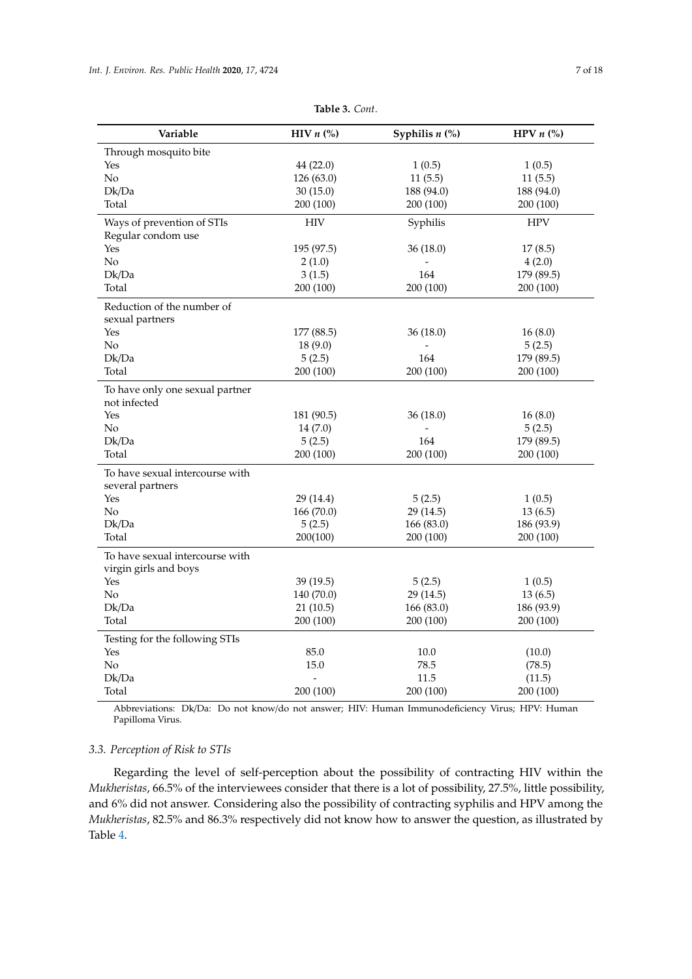| Variable                        | HIV $n$ (%) | Syphilis $n$ (%) | HPV $n$ (%) |
|---------------------------------|-------------|------------------|-------------|
| Through mosquito bite           |             |                  |             |
| Yes                             | 44 (22.0)   | 1(0.5)           | 1(0.5)      |
| No                              | 126 (63.0)  | 11(5.5)          | 11(5.5)     |
| Dk/Da                           | 30(15.0)    | 188 (94.0)       | 188 (94.0)  |
| Total                           | 200 (100)   | 200 (100)        | 200 (100)   |
| Ways of prevention of STIs      | <b>HIV</b>  | Syphilis         | <b>HPV</b>  |
| Regular condom use              |             |                  |             |
| Yes                             | 195 (97.5)  | 36(18.0)         | 17(8.5)     |
| No                              | 2(1.0)      |                  | 4(2.0)      |
| Dk/Da                           | 3(1.5)      | 164              | 179 (89.5)  |
| Total                           | 200 (100)   | 200 (100)        | 200 (100)   |
| Reduction of the number of      |             |                  |             |
| sexual partners                 |             |                  |             |
| Yes                             | 177 (88.5)  | 36(18.0)         | 16(8.0)     |
| No                              | 18 (9.0)    |                  | 5(2.5)      |
| Dk/Da                           | 5(2.5)      | 164              | 179 (89.5)  |
| Total                           | 200 (100)   | 200 (100)        | 200 (100)   |
| To have only one sexual partner |             |                  |             |
| not infected                    |             |                  |             |
| Yes                             | 181 (90.5)  | 36(18.0)         | 16(8.0)     |
| No                              | 14(7.0)     |                  | 5(2.5)      |
| Dk/Da                           | 5(2.5)      | 164              | 179 (89.5)  |
| Total                           | 200 (100)   | 200 (100)        | 200 (100)   |
| To have sexual intercourse with |             |                  |             |
| several partners                |             |                  |             |
| Yes                             | 29 (14.4)   | 5(2.5)           | 1(0.5)      |
| No                              | 166 (70.0)  | 29 (14.5)        | 13(6.5)     |
| Dk/Da                           | 5(2.5)      | 166 (83.0)       | 186 (93.9)  |
| Total                           | 200(100)    | 200 (100)        | 200 (100)   |
| To have sexual intercourse with |             |                  |             |
| virgin girls and boys           |             |                  |             |
| Yes                             | 39 (19.5)   | 5(2.5)           | 1(0.5)      |
| No                              | 140 (70.0)  | 29 (14.5)        | 13(6.5)     |
| Dk/Da                           | 21(10.5)    | 166 (83.0)       | 186 (93.9)  |
| Total                           | 200 (100)   | 200 (100)        | 200 (100)   |
| Testing for the following STIs  |             |                  |             |
| Yes                             | 85.0        | 10.0             | (10.0)      |
| No                              | 15.0        | 78.5             | (78.5)      |
| Dk/Da                           |             | 11.5             | (11.5)      |
| Total                           | 200 (100)   | 200 (100)        | 200 (100)   |

**Table 3.** *Cont*.

Abbreviations: Dk/Da: Do not know/do not answer; HIV: Human Immunodeficiency Virus; HPV: Human Papilloma Virus.

### *3.3. Perception of Risk to STIs*

Regarding the level of self-perception about the possibility of contracting HIV within the *Mukheristas*, 66.5% of the interviewees consider that there is a lot of possibility, 27.5%, little possibility, and 6% did not answer. Considering also the possibility of contracting syphilis and HPV among the *Mukheristas*, 82.5% and 86.3% respectively did not know how to answer the question, as illustrated by Table [4.](#page-7-0)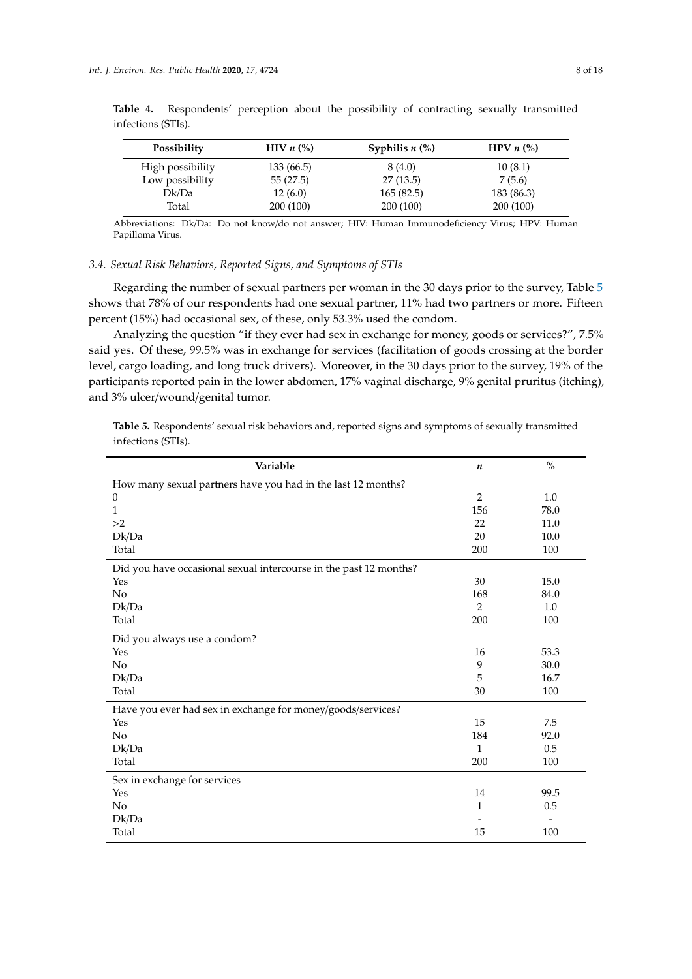| <b>Possibility</b> | HIV $n$ (%) | Syphilis $n$ $\left(\% \right)$ | HPV $n$ (%) |
|--------------------|-------------|---------------------------------|-------------|
| High possibility   | 133 (66.5)  | 8 (4.0)                         | 10(8.1)     |
| Low possibility    | 55(27.5)    | 27(13.5)                        | 7(5.6)      |
| Dk/Da              | 12(6.0)     | 165(82.5)                       | 183 (86.3)  |
| Total              | 200 (100)   | 200(100)                        | 200 (100)   |

<span id="page-7-0"></span>**Table 4.** Respondents' perception about the possibility of contracting sexually transmitted infections (STIs).

Abbreviations: Dk/Da: Do not know/do not answer; HIV: Human Immunodeficiency Virus; HPV: Human Papilloma Virus.

### *3.4. Sexual Risk Behaviors, Reported Signs, and Symptoms of STIs*

Regarding the number of sexual partners per woman in the 30 days prior to the survey, Table [5](#page-7-1) shows that 78% of our respondents had one sexual partner, 11% had two partners or more. Fifteen percent (15%) had occasional sex, of these, only 53.3% used the condom.

Analyzing the question "if they ever had sex in exchange for money, goods or services?", 7.5% said yes. Of these, 99.5% was in exchange for services (facilitation of goods crossing at the border level, cargo loading, and long truck drivers). Moreover, in the 30 days prior to the survey, 19% of the participants reported pain in the lower abdomen, 17% vaginal discharge, 9% genital pruritus (itching), and 3% ulcer/wound/genital tumor.

<span id="page-7-1"></span>**Table 5.** Respondents' sexual risk behaviors and, reported signs and symptoms of sexually transmitted infections (STIs).

| Variable                                                          | $\boldsymbol{n}$ | $\%$ |
|-------------------------------------------------------------------|------------------|------|
| How many sexual partners have you had in the last 12 months?      |                  |      |
| 0                                                                 | 2                | 1.0  |
| 1                                                                 | 156              | 78.0 |
| >2                                                                | 22               | 11.0 |
| Dk/Da                                                             | 20               | 10.0 |
| Total                                                             | 200              | 100  |
| Did you have occasional sexual intercourse in the past 12 months? |                  |      |
| Yes                                                               | 30               | 15.0 |
| No                                                                | 168              | 84.0 |
| Dk/Da                                                             | $\overline{2}$   | 1.0  |
| Total                                                             | 200              | 100  |
| Did you always use a condom?                                      |                  |      |
| Yes                                                               | 16               | 53.3 |
| No                                                                | 9                | 30.0 |
| Dk/Da                                                             | 5                | 16.7 |
| Total                                                             | 30               | 100  |
| Have you ever had sex in exchange for money/goods/services?       |                  |      |
| Yes                                                               | 15               | 7.5  |
| No                                                                | 184              | 92.0 |
| Dk/Da                                                             | $\mathbf{1}$     | 0.5  |
| Total                                                             | 200              | 100  |
| Sex in exchange for services                                      |                  |      |
| Yes                                                               | 14               | 99.5 |
| No                                                                | $\mathbf{1}$     | 0.5  |
| Dk/Da                                                             |                  |      |
| Total                                                             | 15               | 100  |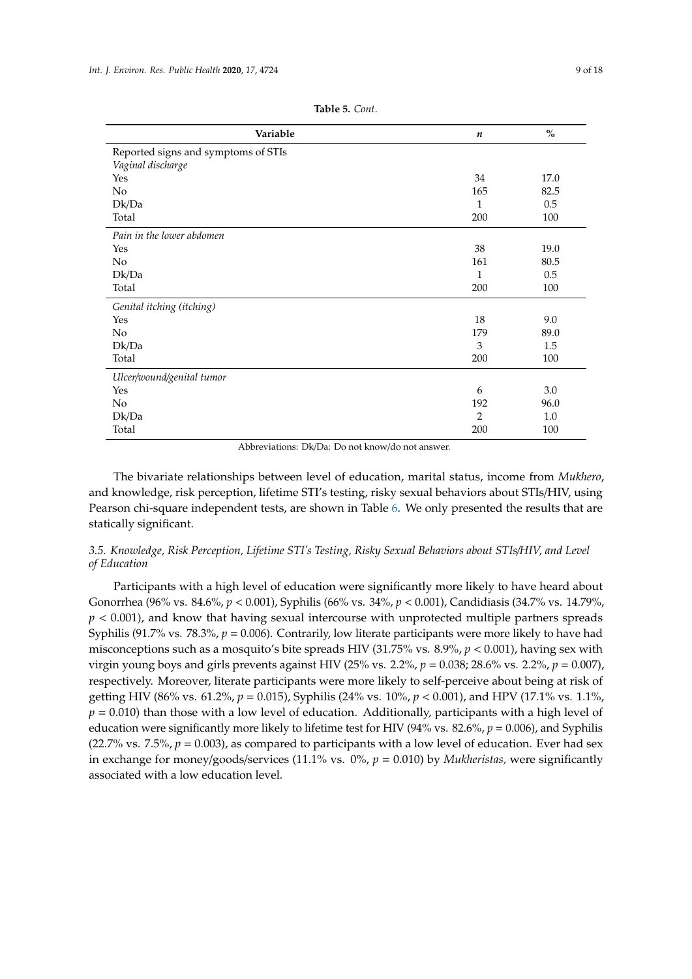| Variable                            | $\boldsymbol{n}$ | $\%$ |
|-------------------------------------|------------------|------|
| Reported signs and symptoms of STIs |                  |      |
| Vaginal discharge                   |                  |      |
| Yes                                 | 34               | 17.0 |
| N <sub>o</sub>                      | 165              | 82.5 |
| Dk/Da                               | 1                | 0.5  |
| Total                               | 200              | 100  |
| Pain in the lower abdomen           |                  |      |
| Yes                                 | 38               | 19.0 |
| N <sub>o</sub>                      | 161              | 80.5 |
| Dk/Da                               | 1                | 0.5  |
| Total                               | 200              | 100  |
| Genital itching (itching)           |                  |      |
| Yes                                 | 18               | 9.0  |
| No                                  | 179              | 89.0 |
| Dk/Da                               | 3                | 1.5  |
| Total                               | 200              | 100  |
| Ulcer/wound/genital tumor           |                  |      |
| Yes                                 | 6                | 3.0  |
| No                                  | 192              | 96.0 |
| Dk/Da                               | $\overline{2}$   | 1.0  |
| Total                               | 200              | 100  |

| Table 5. Cont. |  |
|----------------|--|
|----------------|--|

Abbreviations: Dk/Da: Do not know/do not answer.

The bivariate relationships between level of education, marital status, income from *Mukhero*, and knowledge, risk perception, lifetime STI's testing, risky sexual behaviors about STIs/HIV, using Pearson chi-square independent tests, are shown in Table [6.](#page-9-0) We only presented the results that are statically significant.

## *3.5. Knowledge, Risk Perception, Lifetime STI's Testing, Risky Sexual Behaviors about STIs*/*HIV, and Level of Education*

Participants with a high level of education were significantly more likely to have heard about Gonorrhea (96% vs. 84.6%, *p* < 0.001), Syphilis (66% vs. 34%, *p* < 0.001), Candidiasis (34.7% vs. 14.79%,  $p < 0.001$ ), and know that having sexual intercourse with unprotected multiple partners spreads Syphilis (91.7% vs. 78.3%, *p* = 0.006). Contrarily, low literate participants were more likely to have had misconceptions such as a mosquito's bite spreads HIV (31.75% vs. 8.9%, *p* < 0.001), having sex with virgin young boys and girls prevents against HIV (25% vs. 2.2%, *p* = 0.038; 28.6% vs. 2.2%, *p* = 0.007), respectively. Moreover, literate participants were more likely to self-perceive about being at risk of getting HIV (86% vs. 61.2%, *p* = 0.015), Syphilis (24% vs. 10%, *p* < 0.001), and HPV (17.1% vs. 1.1%,  $p = 0.010$ ) than those with a low level of education. Additionally, participants with a high level of education were significantly more likely to lifetime test for HIV (94% vs. 82.6%, *p* = 0.006), and Syphilis (22.7% vs. 7.5%,  $p = 0.003$ ), as compared to participants with a low level of education. Ever had sex in exchange for money/goods/services (11.1% vs.  $0\%$ ,  $p = 0.010$ ) by *Mukheristas*, were significantly associated with a low education level.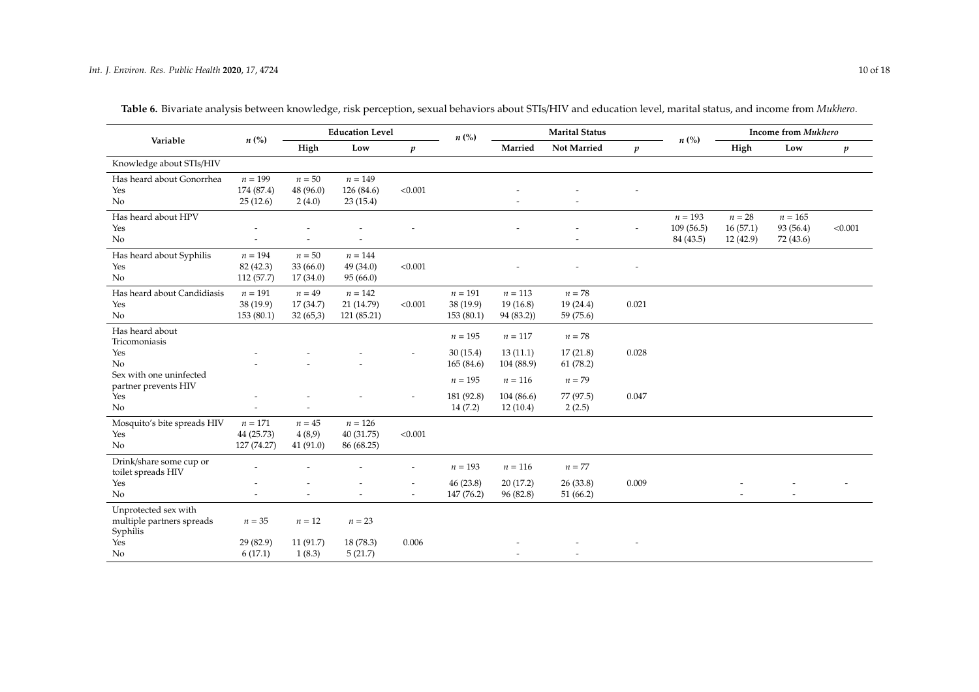<span id="page-9-0"></span>

| Variable                    |                      | <b>Education Level</b><br>$n\left(\%\right)$ |                      | $n$ (%)          | <b>Marital Status</b> |            |                    | $n\left(\%\right)$ | Income from Mukhero |           |           |                  |
|-----------------------------|----------------------|----------------------------------------------|----------------------|------------------|-----------------------|------------|--------------------|--------------------|---------------------|-----------|-----------|------------------|
|                             |                      | High                                         | Low                  | $\boldsymbol{p}$ |                       | Married    | <b>Not Married</b> | $\boldsymbol{p}$   |                     | High      | Low       | $\boldsymbol{p}$ |
| Knowledge about STIs/HIV    |                      |                                              |                      |                  |                       |            |                    |                    |                     |           |           |                  |
| Has heard about Gonorrhea   | $n = 199$            | $n = 50$                                     | $n = 149$            |                  |                       |            |                    |                    |                     |           |           |                  |
| Yes                         | 174 (87.4)           | 48 (96.0)                                    | 126 (84.6)           | < 0.001          |                       |            |                    |                    |                     |           |           |                  |
| No                          | 25(12.6)             | 2(4.0)                                       | 23(15.4)             |                  |                       |            |                    |                    |                     |           |           |                  |
| Has heard about HPV         |                      |                                              |                      |                  |                       |            |                    |                    | $n = 193$           | $n = 28$  | $n = 165$ |                  |
| Yes                         |                      |                                              |                      |                  |                       |            |                    |                    | 109(56.5)           | 16(57.1)  | 93 (56.4) | < 0.001          |
| No                          | $\overline{a}$       |                                              | $\overline{a}$       |                  |                       |            |                    |                    | 84 (43.5)           | 12 (42.9) | 72 (43.6) |                  |
| Has heard about Syphilis    | $n = 194$            | $n = 50$                                     | $n = 144$            |                  |                       |            |                    |                    |                     |           |           |                  |
| Yes                         | 82 (42.3)            | 33 (66.0)                                    | 49 (34.0)            | < 0.001          |                       |            |                    |                    |                     |           |           |                  |
| No                          | 112 (57.7)           | 17(34.0)                                     | 95(66.0)             |                  |                       |            |                    |                    |                     |           |           |                  |
| Has heard about Candidiasis | $n = 191$            | $n = 49$                                     | $n = 142$            |                  | $n = 191$             | $n = 113$  | $n = 78$           |                    |                     |           |           |                  |
| Yes                         | 38 (19.9)            | 17 (34.7)                                    | 21 (14.79)           | < 0.001          | 38 (19.9)             | 19(16.8)   | 19(24.4)           | 0.021              |                     |           |           |                  |
| No                          | 153(80.1)            | 32(65,3)                                     | 121 (85.21)          |                  | 153(80.1)             | 94 (83.2)) | 59 (75.6)          |                    |                     |           |           |                  |
| Has heard about             |                      |                                              |                      |                  |                       |            |                    |                    |                     |           |           |                  |
| Tricomoniasis               |                      |                                              |                      |                  | $n = 195$             | $n = 117$  | $n = 78$           |                    |                     |           |           |                  |
| Yes                         |                      |                                              |                      |                  | 30(15.4)              | 13(11.1)   | 17(21.8)           | 0.028              |                     |           |           |                  |
| No                          |                      |                                              |                      |                  | 165(84.6)             | 104 (88.9) | 61 (78.2)          |                    |                     |           |           |                  |
| Sex with one uninfected     |                      |                                              |                      |                  | $n = 195$             | $n = 116$  | $n = 79$           |                    |                     |           |           |                  |
| partner prevents HIV        |                      |                                              |                      |                  |                       |            |                    |                    |                     |           |           |                  |
| Yes<br>No                   |                      |                                              |                      |                  | 181 (92.8)            | 104 (86.6) | 77 (97.5)          | 0.047              |                     |           |           |                  |
|                             |                      |                                              |                      |                  | 14(7.2)               | 12(10.4)   | 2(2.5)             |                    |                     |           |           |                  |
| Mosquito's bite spreads HIV | $n = 171$            | $n = 45$                                     | $n = 126$            |                  |                       |            |                    |                    |                     |           |           |                  |
| Yes                         | 44 (25.73)           | 4(8,9)                                       | 40(31.75)            | < 0.001          |                       |            |                    |                    |                     |           |           |                  |
| No                          | 127 (74.27)          | 41(91.0)                                     | 86 (68.25)           |                  |                       |            |                    |                    |                     |           |           |                  |
| Drink/share some cup or     |                      |                                              |                      |                  | $n = 193$             | $n = 116$  | $n = 77$           |                    |                     |           |           |                  |
| toilet spreads HIV          |                      |                                              |                      |                  |                       |            |                    |                    |                     |           |           |                  |
| Yes                         |                      |                                              |                      |                  | 46(23.8)              | 20(17.2)   | 26(33.8)           | 0.009              |                     |           |           |                  |
| No                          |                      |                                              |                      |                  | 147 (76.2)            | 96 (82.8)  | 51(66.2)           |                    |                     |           |           |                  |
| Unprotected sex with        |                      |                                              |                      |                  |                       |            |                    |                    |                     |           |           |                  |
| multiple partners spreads   | $n = 35$             | $n = 12$                                     | $n = 23$             |                  |                       |            |                    |                    |                     |           |           |                  |
| Syphilis                    |                      |                                              |                      | 0.006            |                       |            |                    |                    |                     |           |           |                  |
| Yes<br>No                   | 29 (82.9)<br>6(17.1) | 11(91.7)<br>1(8.3)                           | 18 (78.3)<br>5(21.7) |                  |                       |            |                    |                    |                     |           |           |                  |
|                             |                      |                                              |                      |                  |                       |            |                    |                    |                     |           |           |                  |

| Table 6. Bivariate analysis between knowledge, risk perception, sexual behaviors about STIs/HIV and education level, marital status, and income from Mukhero. |  |
|---------------------------------------------------------------------------------------------------------------------------------------------------------------|--|
|---------------------------------------------------------------------------------------------------------------------------------------------------------------|--|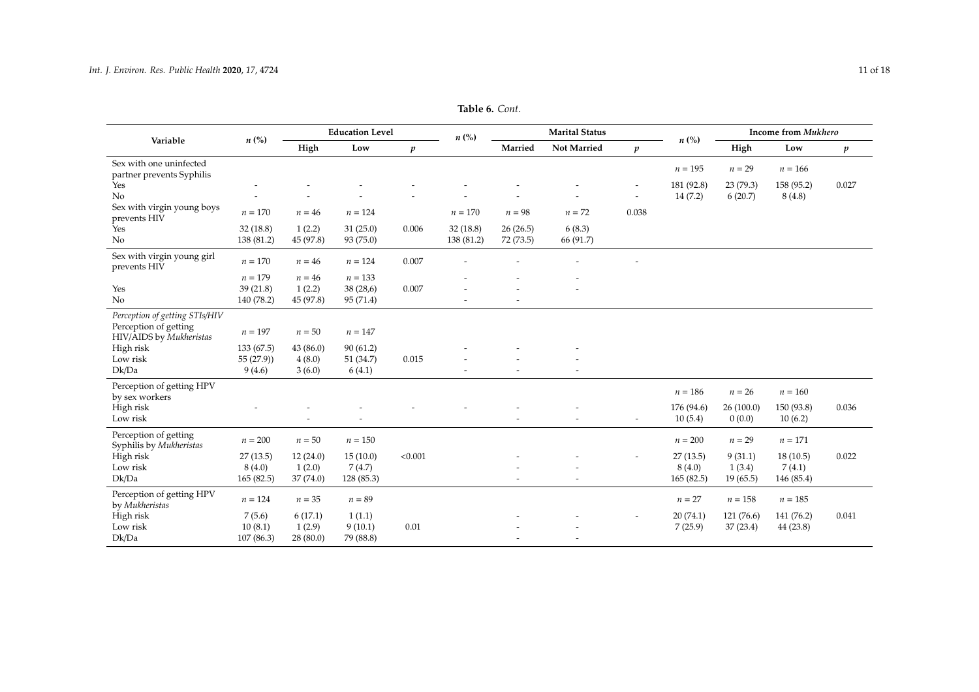|                                             |                        |           | <b>Education Level</b> |                  | $n\ (\%)$  | <b>Marital Status</b> |             |                          |            |            | Income from Mukhero |                  |
|---------------------------------------------|------------------------|-----------|------------------------|------------------|------------|-----------------------|-------------|--------------------------|------------|------------|---------------------|------------------|
| Variable                                    | $n\ (\%)$              | High      | Low                    | $\boldsymbol{p}$ |            | Married               | Not Married | $\boldsymbol{p}$         | $n\ (\%)$  | High       | Low                 | $\boldsymbol{p}$ |
| Sex with one uninfected                     |                        |           |                        |                  |            |                       |             |                          | $n = 195$  | $n = 29$   | $n = 166$           |                  |
| partner prevents Syphilis                   |                        |           |                        |                  |            |                       |             |                          |            |            |                     |                  |
| Yes                                         |                        |           |                        |                  |            |                       |             |                          | 181 (92.8) | 23 (79.3)  | 158 (95.2)          | 0.027            |
| No                                          |                        |           |                        |                  |            |                       |             |                          | 14(7.2)    | 6(20.7)    | 8(4.8)              |                  |
| Sex with virgin young boys<br>prevents HIV  | $n = 170$              | $n = 46$  | $n = 124$              |                  | $n = 170$  | $n = 98$              | $n = 72$    | 0.038                    |            |            |                     |                  |
| Yes                                         | 32(18.8)               | 1(2.2)    | 31(25.0)               | 0.006            | 32(18.8)   | 26(26.5)              | 6(8.3)      |                          |            |            |                     |                  |
| No                                          | 138 (81.2)             | 45 (97.8) | 93 (75.0)              |                  | 138 (81.2) | 72 (73.5)             | 66 (91.7)   |                          |            |            |                     |                  |
|                                             |                        |           |                        |                  |            |                       |             |                          |            |            |                     |                  |
| Sex with virgin young girl<br>prevents HIV  | $n = 170$              | $n = 46$  | $n = 124$              | 0.007            |            |                       |             |                          |            |            |                     |                  |
|                                             | $n = 179$              | $n = 46$  | $n = 133$              |                  |            |                       |             |                          |            |            |                     |                  |
| Yes                                         | 39(21.8)               | 1(2.2)    | 38(28,6)               | 0.007            |            |                       |             |                          |            |            |                     |                  |
| No                                          | 140 (78.2)             | 45 (97.8) | 95 (71.4)              |                  |            |                       |             |                          |            |            |                     |                  |
| Perception of getting STIs/HIV              |                        |           |                        |                  |            |                       |             |                          |            |            |                     |                  |
| Perception of getting                       | $n = 197$              | $n = 50$  | $n = 147$              |                  |            |                       |             |                          |            |            |                     |                  |
| HIV/AIDS by Mukheristas                     |                        | 43 (86.0) |                        |                  |            |                       |             |                          |            |            |                     |                  |
| High risk<br>Low risk                       | 133 (67.5)<br>55(27.9) | 4(8.0)    | 90(61.2)<br>51 (34.7)  | 0.015            |            |                       |             |                          |            |            |                     |                  |
| Dk/Da                                       | 9(4.6)                 | 3(6.0)    | 6(4.1)                 |                  |            |                       |             |                          |            |            |                     |                  |
|                                             |                        |           |                        |                  |            |                       |             |                          |            |            |                     |                  |
| Perception of getting HPV<br>by sex workers |                        |           |                        |                  |            |                       |             |                          | $n = 186$  | $n = 26$   | $n = 160$           |                  |
| High risk                                   |                        |           |                        |                  |            |                       |             |                          | 176 (94.6) | 26(100.0)  | 150 (93.8)          | 0.036            |
| Low risk                                    |                        |           |                        |                  |            |                       |             | $\overline{\phantom{a}}$ | 10(5.4)    | 0(0.0)     | 10(6.2)             |                  |
| Perception of getting                       |                        |           |                        |                  |            |                       |             |                          |            |            |                     |                  |
| Syphilis by Mukheristas                     | $n = 200$              | $n = 50$  | $n = 150$              |                  |            |                       |             |                          | $n = 200$  | $n = 29$   | $n = 171$           |                  |
| High risk                                   | 27(13.5)               | 12(24.0)  | 15(10.0)               | < 0.001          |            |                       |             |                          | 27(13.5)   | 9(31.1)    | 18(10.5)            | 0.022            |
| Low risk                                    | 8(4.0)                 | 1(2.0)    | 7(4.7)                 |                  |            |                       |             |                          | 8(4.0)     | 1(3.4)     | 7(4.1)              |                  |
| Dk/Da                                       | 165(82.5)              | 37 (74.0) | 128(85.3)              |                  |            |                       |             |                          | 165(82.5)  | 19(65.5)   | 146 (85.4)          |                  |
|                                             |                        |           |                        |                  |            |                       |             |                          |            |            |                     |                  |
| Perception of getting HPV<br>by Mukheristas | $n = 124$              | $n = 35$  | $n = 89$               |                  |            |                       |             |                          | $n=27$     | $n = 158$  | $n = 185$           |                  |
| High risk                                   | 7(5.6)                 | 6(17.1)   | 1(1.1)                 |                  |            |                       |             |                          | 20(74.1)   | 121 (76.6) | 141 (76.2)          | 0.041            |
| Low risk                                    | 10(8.1)                | 1(2.9)    | 9(10.1)                | 0.01             |            |                       |             |                          | 7(25.9)    | 37(23.4)   | 44 (23.8)           |                  |
| Dk/Da                                       | 107(86.3)              | 28(80.0)  | 79 (88.8)              |                  |            |                       |             |                          |            |            |                     |                  |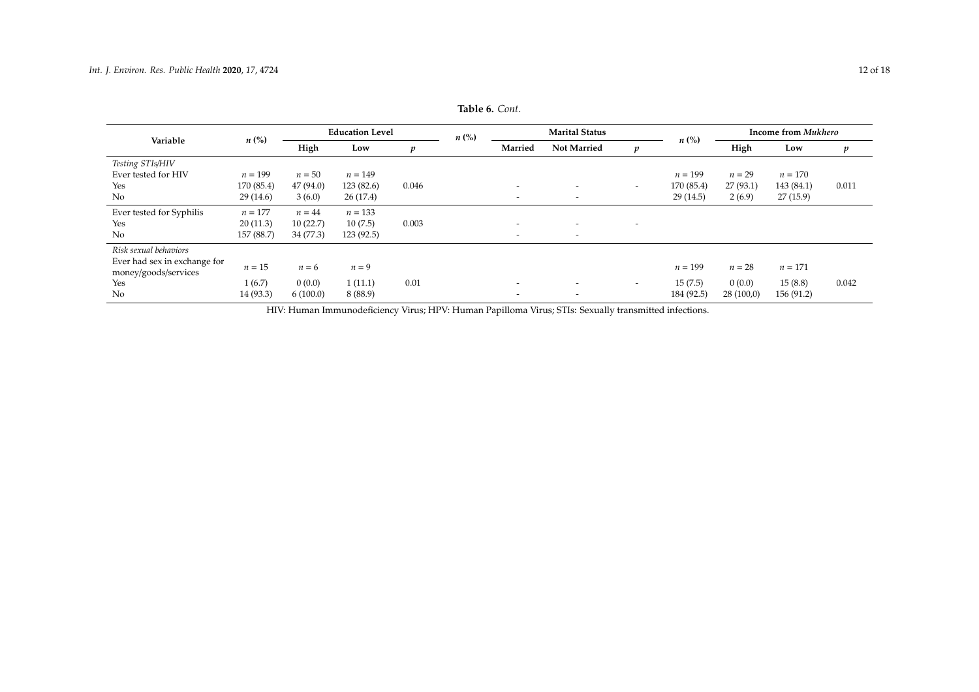| Variable                                             | $n\left(\%\right)$ | <b>Education Level</b> |           |       | $n\left(\%\right)$ | <b>Marital Status</b>    |                          |                          |            | Income from Mukhero |            |                  |
|------------------------------------------------------|--------------------|------------------------|-----------|-------|--------------------|--------------------------|--------------------------|--------------------------|------------|---------------------|------------|------------------|
|                                                      |                    | High                   | Low       | p     |                    | Married                  | <b>Not Married</b>       | $\boldsymbol{p}$         | $n\ (\%)$  | High                | Low        | $\boldsymbol{p}$ |
| Testing STIs/HIV                                     |                    |                        |           |       |                    |                          |                          |                          |            |                     |            |                  |
| Ever tested for HIV                                  | $n = 199$          | $n = 50$               | $n = 149$ |       |                    |                          |                          |                          | $n = 199$  | $n = 29$            | $n = 170$  |                  |
| Yes                                                  | 170 (85.4)         | 47(94.0)               | 123(82.6) | 0.046 |                    | $\overline{\phantom{a}}$ |                          | $\overline{\phantom{0}}$ | 170 (85.4) | 27(93.1)            | 143 (84.1) | 0.011            |
| No                                                   | 29(14.6)           | 3(6.0)                 | 26(17.4)  |       |                    | $\overline{\phantom{a}}$ | $\overline{\phantom{a}}$ |                          | 29(14.5)   | 2(6.9)              | 27(15.9)   |                  |
| Ever tested for Syphilis                             | $n = 177$          | $n = 44$               | $n = 133$ |       |                    |                          |                          |                          |            |                     |            |                  |
| Yes                                                  | 20(11.3)           | 10(22.7)               | 10(7.5)   | 0.003 |                    | $\overline{\phantom{a}}$ | $\overline{\phantom{a}}$ | $\overline{\phantom{a}}$ |            |                     |            |                  |
| No                                                   | 157 (88.7)         | 34 (77.3)              | 123(92.5) |       |                    | $\overline{\phantom{a}}$ | -                        |                          |            |                     |            |                  |
| Risk sexual behaviors                                |                    |                        |           |       |                    |                          |                          |                          |            |                     |            |                  |
| Ever had sex in exchange for<br>money/goods/services | $n=15$             | $n = 6$                | $n = 9$   |       |                    |                          |                          |                          | $n = 199$  | $n = 28$            | $n = 171$  |                  |
| Yes                                                  | 1(6.7)             | 0(0.0)                 | 1(11.1)   | 0.01  |                    | $\overline{\phantom{a}}$ |                          | $\overline{\phantom{a}}$ | 15(7.5)    | 0(0.0)              | 15(8.8)    | 0.042            |
| No                                                   | 14 (93.3)          | 6(100.0)               | 8 (88.9)  |       |                    | $\overline{\phantom{a}}$ | $\overline{\phantom{0}}$ |                          | 184 (92.5) | 28(100,0)           | 156(91.2)  |                  |

HIV: Human Immunodeficiency Virus; HPV: Human Papilloma Virus; STIs: Sexually transmitted infections.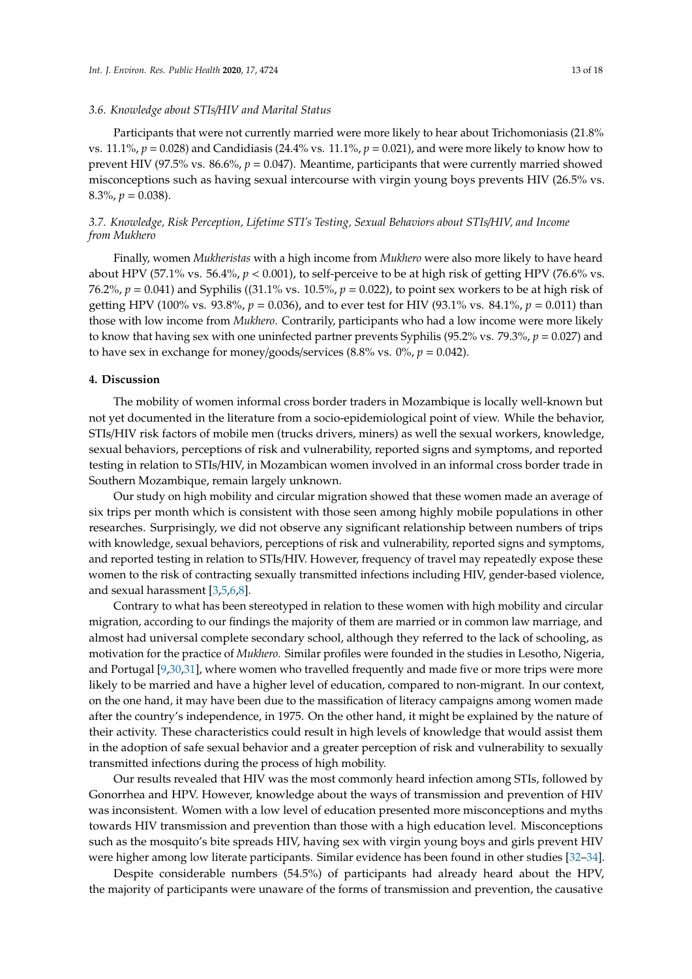#### *3.6. Knowledge about STIs*/*HIV and Marital Status*

Participants that were not currently married were more likely to hear about Trichomoniasis (21.8% vs. 11.1%,  $p = 0.028$ ) and Candidiasis (24.4% vs. 11.1%,  $p = 0.021$ ), and were more likely to know how to prevent HIV (97.5% vs. 86.6%, *p* = 0.047). Meantime, participants that were currently married showed misconceptions such as having sexual intercourse with virgin young boys prevents HIV (26.5% vs.  $8.3\%$ ,  $p = 0.038$ ).

# *3.7. Knowledge, Risk Perception, Lifetime STI's Testing, Sexual Behaviors about STIs*/*HIV, and Income from Mukhero*

Finally, women *Mukheristas* with a high income from *Mukhero* were also more likely to have heard about HPV (57.1% vs. 56.4%,  $p < 0.001$ ), to self-perceive to be at high risk of getting HPV (76.6% vs. 76.2%, *p* = 0.041) and Syphilis ((31.1% vs. 10.5%, *p* = 0.022), to point sex workers to be at high risk of getting HPV (100% vs. 93.8%, *p* = 0.036), and to ever test for HIV (93.1% vs. 84.1%, *p* = 0.011) than those with low income from *Mukhero*. Contrarily, participants who had a low income were more likely to know that having sex with one uninfected partner prevents Syphilis (95.2% vs. 79.3%,  $p = 0.027$ ) and to have sex in exchange for money/goods/services  $(8.8\% \text{ vs. } 0\%, p = 0.042)$ .

#### **4. Discussion**

The mobility of women informal cross border traders in Mozambique is locally well-known but not yet documented in the literature from a socio-epidemiological point of view. While the behavior, STIs/HIV risk factors of mobile men (trucks drivers, miners) as well the sexual workers, knowledge, sexual behaviors, perceptions of risk and vulnerability, reported signs and symptoms, and reported testing in relation to STIs/HIV, in Mozambican women involved in an informal cross border trade in Southern Mozambique, remain largely unknown.

Our study on high mobility and circular migration showed that these women made an average of six trips per month which is consistent with those seen among highly mobile populations in other researches. Surprisingly, we did not observe any significant relationship between numbers of trips with knowledge, sexual behaviors, perceptions of risk and vulnerability, reported signs and symptoms, and reported testing in relation to STIs/HIV. However, frequency of travel may repeatedly expose these women to the risk of contracting sexually transmitted infections including HIV, gender-based violence, and sexual harassment [\[3](#page-15-2)[,5](#page-15-3)[,6](#page-15-14)[,8\]](#page-15-5).

Contrary to what has been stereotyped in relation to these women with high mobility and circular migration, according to our findings the majority of them are married or in common law marriage, and almost had universal complete secondary school, although they referred to the lack of schooling, as motivation for the practice of *Mukhero.* Similar profiles were founded in the studies in Lesotho, Nigeria, and Portugal [\[9](#page-15-6)[,30](#page-16-12)[,31\]](#page-16-13), where women who travelled frequently and made five or more trips were more likely to be married and have a higher level of education, compared to non-migrant. In our context, on the one hand, it may have been due to the massification of literacy campaigns among women made after the country's independence, in 1975. On the other hand, it might be explained by the nature of their activity. These characteristics could result in high levels of knowledge that would assist them in the adoption of safe sexual behavior and a greater perception of risk and vulnerability to sexually transmitted infections during the process of high mobility.

Our results revealed that HIV was the most commonly heard infection among STIs, followed by Gonorrhea and HPV. However, knowledge about the ways of transmission and prevention of HIV was inconsistent. Women with a low level of education presented more misconceptions and myths towards HIV transmission and prevention than those with a high education level. Misconceptions such as the mosquito's bite spreads HIV, having sex with virgin young boys and girls prevent HIV were higher among low literate participants. Similar evidence has been found in other studies [\[32–](#page-16-14)[34\]](#page-16-15).

Despite considerable numbers (54.5%) of participants had already heard about the HPV, the majority of participants were unaware of the forms of transmission and prevention, the causative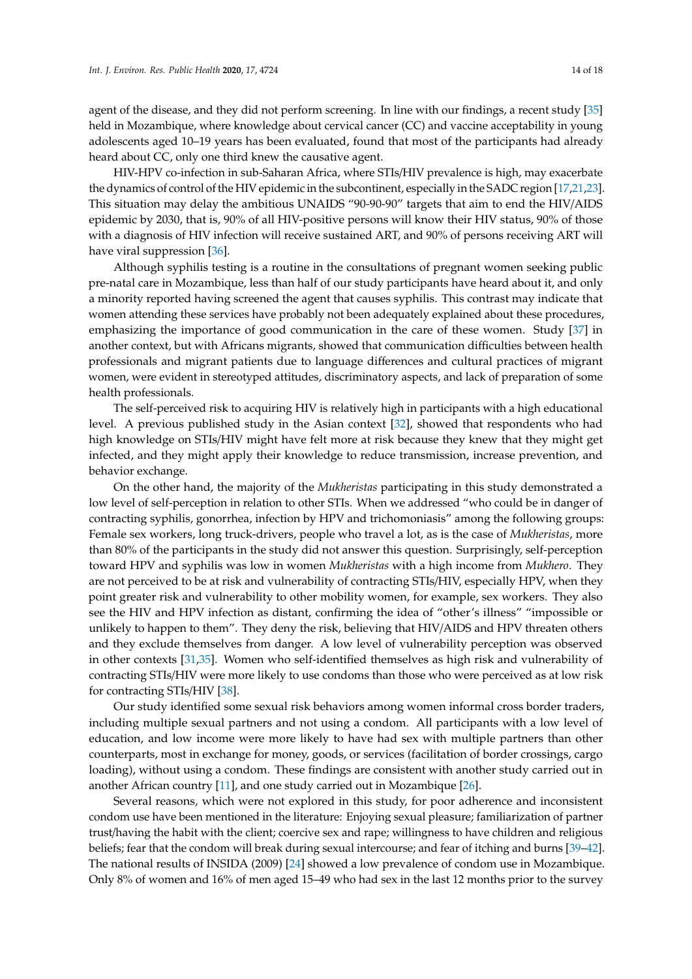agent of the disease, and they did not perform screening. In line with our findings, a recent study [\[35\]](#page-16-16) held in Mozambique, where knowledge about cervical cancer (CC) and vaccine acceptability in young adolescents aged 10–19 years has been evaluated, found that most of the participants had already heard about CC, only one third knew the causative agent.

HIV-HPV co-infection in sub-Saharan Africa, where STIs/HIV prevalence is high, may exacerbate the dynamics of control of the HIV epidemic in the subcontinent, especially in the SADC region [\[17](#page-15-13)[,21](#page-16-3)[,23\]](#page-16-5). This situation may delay the ambitious UNAIDS "90-90-90" targets that aim to end the HIV/AIDS epidemic by 2030, that is, 90% of all HIV-positive persons will know their HIV status, 90% of those with a diagnosis of HIV infection will receive sustained ART, and 90% of persons receiving ART will have viral suppression [\[36\]](#page-16-17).

Although syphilis testing is a routine in the consultations of pregnant women seeking public pre-natal care in Mozambique, less than half of our study participants have heard about it, and only a minority reported having screened the agent that causes syphilis. This contrast may indicate that women attending these services have probably not been adequately explained about these procedures, emphasizing the importance of good communication in the care of these women. Study [\[37\]](#page-16-18) in another context, but with Africans migrants, showed that communication difficulties between health professionals and migrant patients due to language differences and cultural practices of migrant women, were evident in stereotyped attitudes, discriminatory aspects, and lack of preparation of some health professionals.

The self-perceived risk to acquiring HIV is relatively high in participants with a high educational level. A previous published study in the Asian context [\[32\]](#page-16-14), showed that respondents who had high knowledge on STIs/HIV might have felt more at risk because they knew that they might get infected, and they might apply their knowledge to reduce transmission, increase prevention, and behavior exchange.

On the other hand, the majority of the *Mukheristas* participating in this study demonstrated a low level of self-perception in relation to other STIs. When we addressed "who could be in danger of contracting syphilis, gonorrhea, infection by HPV and trichomoniasis" among the following groups: Female sex workers, long truck-drivers, people who travel a lot, as is the case of *Mukheristas*, more than 80% of the participants in the study did not answer this question. Surprisingly, self-perception toward HPV and syphilis was low in women *Mukheristas* with a high income from *Mukhero*. They are not perceived to be at risk and vulnerability of contracting STIs/HIV, especially HPV, when they point greater risk and vulnerability to other mobility women, for example, sex workers. They also see the HIV and HPV infection as distant, confirming the idea of "other's illness" "impossible or unlikely to happen to them". They deny the risk, believing that HIV/AIDS and HPV threaten others and they exclude themselves from danger. A low level of vulnerability perception was observed in other contexts [\[31](#page-16-13)[,35\]](#page-16-16). Women who self-identified themselves as high risk and vulnerability of contracting STIs/HIV were more likely to use condoms than those who were perceived as at low risk for contracting STIs/HIV [\[38\]](#page-17-0).

Our study identified some sexual risk behaviors among women informal cross border traders, including multiple sexual partners and not using a condom. All participants with a low level of education, and low income were more likely to have had sex with multiple partners than other counterparts, most in exchange for money, goods, or services (facilitation of border crossings, cargo loading), without using a condom. These findings are consistent with another study carried out in another African country [\[11\]](#page-15-7), and one study carried out in Mozambique [\[26\]](#page-16-8).

Several reasons, which were not explored in this study, for poor adherence and inconsistent condom use have been mentioned in the literature: Enjoying sexual pleasure; familiarization of partner trust/having the habit with the client; coercive sex and rape; willingness to have children and religious beliefs; fear that the condom will break during sexual intercourse; and fear of itching and burns [\[39–](#page-17-1)[42\]](#page-17-2). The national results of INSIDA (2009) [\[24\]](#page-16-6) showed a low prevalence of condom use in Mozambique. Only 8% of women and 16% of men aged 15–49 who had sex in the last 12 months prior to the survey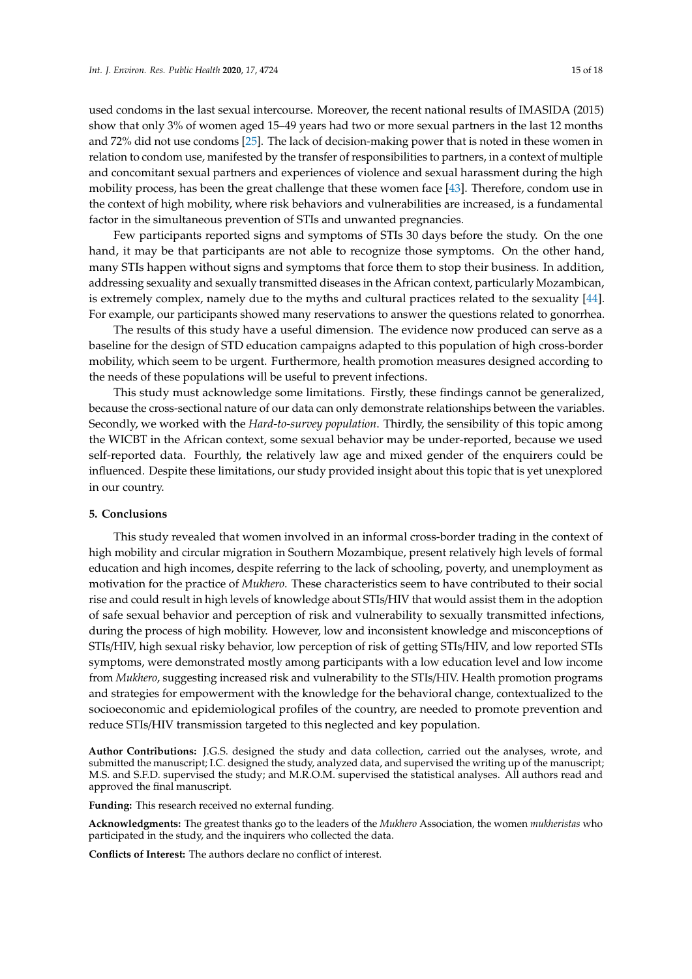used condoms in the last sexual intercourse. Moreover, the recent national results of IMASIDA (2015) show that only 3% of women aged 15–49 years had two or more sexual partners in the last 12 months and 72% did not use condoms [\[25\]](#page-16-7). The lack of decision-making power that is noted in these women in relation to condom use, manifested by the transfer of responsibilities to partners, in a context of multiple and concomitant sexual partners and experiences of violence and sexual harassment during the high mobility process, has been the great challenge that these women face [\[43\]](#page-17-3). Therefore, condom use in the context of high mobility, where risk behaviors and vulnerabilities are increased, is a fundamental factor in the simultaneous prevention of STIs and unwanted pregnancies.

Few participants reported signs and symptoms of STIs 30 days before the study. On the one hand, it may be that participants are not able to recognize those symptoms. On the other hand, many STIs happen without signs and symptoms that force them to stop their business. In addition, addressing sexuality and sexually transmitted diseases in the African context, particularly Mozambican, is extremely complex, namely due to the myths and cultural practices related to the sexuality [\[44\]](#page-17-4). For example, our participants showed many reservations to answer the questions related to gonorrhea.

The results of this study have a useful dimension. The evidence now produced can serve as a baseline for the design of STD education campaigns adapted to this population of high cross-border mobility, which seem to be urgent. Furthermore, health promotion measures designed according to the needs of these populations will be useful to prevent infections.

This study must acknowledge some limitations. Firstly, these findings cannot be generalized, because the cross-sectional nature of our data can only demonstrate relationships between the variables. Secondly, we worked with the *Hard-to-survey population*. Thirdly, the sensibility of this topic among the WICBT in the African context, some sexual behavior may be under-reported, because we used self-reported data. Fourthly, the relatively law age and mixed gender of the enquirers could be influenced. Despite these limitations, our study provided insight about this topic that is yet unexplored in our country.

#### **5. Conclusions**

This study revealed that women involved in an informal cross-border trading in the context of high mobility and circular migration in Southern Mozambique, present relatively high levels of formal education and high incomes, despite referring to the lack of schooling, poverty, and unemployment as motivation for the practice of *Mukhero*. These characteristics seem to have contributed to their social rise and could result in high levels of knowledge about STIs/HIV that would assist them in the adoption of safe sexual behavior and perception of risk and vulnerability to sexually transmitted infections, during the process of high mobility. However, low and inconsistent knowledge and misconceptions of STIs/HIV, high sexual risky behavior, low perception of risk of getting STIs/HIV, and low reported STIs symptoms, were demonstrated mostly among participants with a low education level and low income from *Mukhero*, suggesting increased risk and vulnerability to the STIs/HIV. Health promotion programs and strategies for empowerment with the knowledge for the behavioral change, contextualized to the socioeconomic and epidemiological profiles of the country, are needed to promote prevention and reduce STIs/HIV transmission targeted to this neglected and key population.

**Author Contributions:** J.G.S. designed the study and data collection, carried out the analyses, wrote, and submitted the manuscript; I.C. designed the study, analyzed data, and supervised the writing up of the manuscript; M.S. and S.F.D. supervised the study; and M.R.O.M. supervised the statistical analyses. All authors read and approved the final manuscript.

**Funding:** This research received no external funding.

**Acknowledgments:** The greatest thanks go to the leaders of the *Mukhero* Association, the women *mukheristas* who participated in the study, and the inquirers who collected the data.

**Conflicts of Interest:** The authors declare no conflict of interest.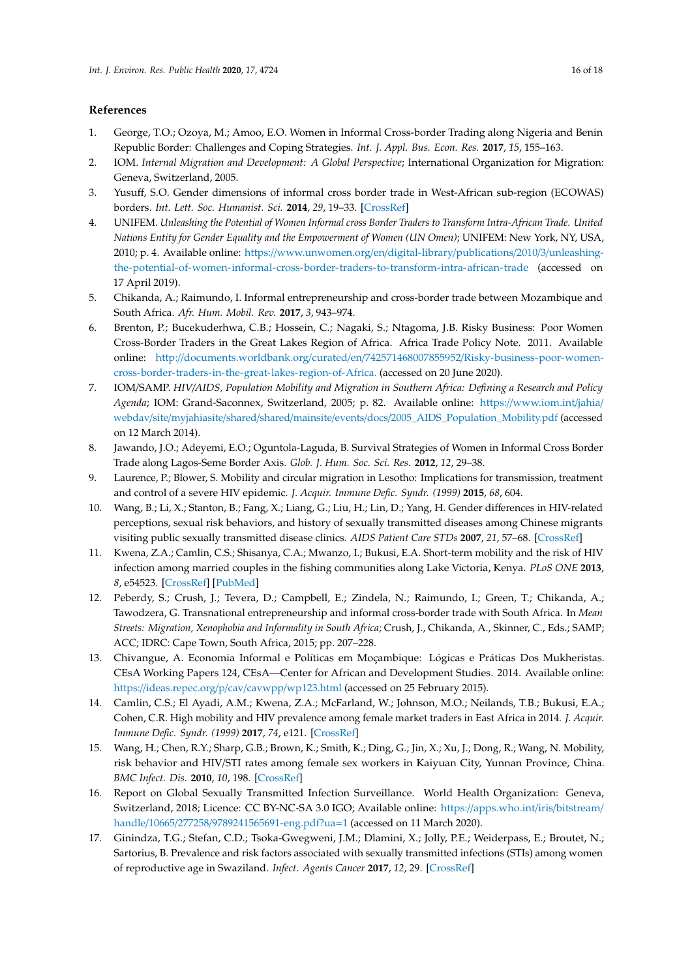#### **References**

- <span id="page-15-0"></span>1. George, T.O.; Ozoya, M.; Amoo, E.O. Women in Informal Cross-border Trading along Nigeria and Benin Republic Border: Challenges and Coping Strategies. *Int. J. Appl. Bus. Econ. Res.* **2017**, *15*, 155–163.
- <span id="page-15-1"></span>2. IOM. *Internal Migration and Development: A Global Perspective*; International Organization for Migration: Geneva, Switzerland, 2005.
- <span id="page-15-2"></span>3. Yusuff, S.O. Gender dimensions of informal cross border trade in West-African sub-region (ECOWAS) borders. *Int. Lett. Soc. Humanist. Sci.* **2014**, *29*, 19–33. [\[CrossRef\]](http://dx.doi.org/10.18052/www.scipress.com/ILSHS.29.19)
- 4. UNIFEM. *Unleashing the Potential of Women Informal cross Border Traders to Transform Intra-African Trade. United Nations Entity for Gender Equality and the Empowerment of Women (UN Omen)*; UNIFEM: New York, NY, USA, 2010; p. 4. Available online: https://[www.unwomen.org](https://www.unwomen.org/en/digital-library/publications/2010/3/unleashing-the-potential-of-women-informal-cross-border-traders-to-transform-intra-african-trade)/en/digital-library/publications/2010/3/unleashing[the-potential-of-women-informal-cross-border-traders-to-transform-intra-african-trade](https://www.unwomen.org/en/digital-library/publications/2010/3/unleashing-the-potential-of-women-informal-cross-border-traders-to-transform-intra-african-trade) (accessed on 17 April 2019).
- <span id="page-15-3"></span>5. Chikanda, A.; Raimundo, I. Informal entrepreneurship and cross-border trade between Mozambique and South Africa. *Afr. Hum. Mobil. Rev.* **2017**, *3*, 943–974.
- <span id="page-15-14"></span>6. Brenton, P.; Bucekuderhwa, C.B.; Hossein, C.; Nagaki, S.; Ntagoma, J.B. Risky Business: Poor Women Cross-Border Traders in the Great Lakes Region of Africa. Africa Trade Policy Note. 2011. Available online: http://documents.worldbank.org/curated/en/742571468007855952/[Risky-business-poor-women](http://documents.worldbank.org/curated/en/742571468007855952/Risky-business-poor-women-cross-border-traders-in-the-great-lakes-region-of-Africa.)[cross-border-traders-in-the-great-lakes-region-of-Africa.](http://documents.worldbank.org/curated/en/742571468007855952/Risky-business-poor-women-cross-border-traders-in-the-great-lakes-region-of-Africa.) (accessed on 20 June 2020).
- <span id="page-15-4"></span>7. IOM/SAMP. *HIV*/*AIDS, Population Mobility and Migration in Southern Africa: Defining a Research and Policy Agenda*; IOM: Grand-Saconnex, Switzerland, 2005; p. 82. Available online: https://[www.iom.int](https://www.iom.int/jahia/webdav/site/myjahiasite/shared/shared/mainsite/events/docs/2005_AIDS_Population_Mobility.pdf)/jahia/ webdav/site/myjahiasite/shared/shared/mainsite/events/docs/[2005\\_AIDS\\_Population\\_Mobility.pdf](https://www.iom.int/jahia/webdav/site/myjahiasite/shared/shared/mainsite/events/docs/2005_AIDS_Population_Mobility.pdf) (accessed on 12 March 2014).
- <span id="page-15-5"></span>8. Jawando, J.O.; Adeyemi, E.O.; Oguntola-Laguda, B. Survival Strategies of Women in Informal Cross Border Trade along Lagos-Seme Border Axis. *Glob. J. Hum. Soc. Sci. Res.* **2012**, *12*, 29–38.
- <span id="page-15-6"></span>9. Laurence, P.; Blower, S. Mobility and circular migration in Lesotho: Implications for transmission, treatment and control of a severe HIV epidemic. *J. Acquir. Immune Defic. Syndr. (1999)* **2015**, *68*, 604.
- 10. Wang, B.; Li, X.; Stanton, B.; Fang, X.; Liang, G.; Liu, H.; Lin, D.; Yang, H. Gender differences in HIV-related perceptions, sexual risk behaviors, and history of sexually transmitted diseases among Chinese migrants visiting public sexually transmitted disease clinics. *AIDS Patient Care STDs* **2007**, *21*, 57–68. [\[CrossRef\]](http://dx.doi.org/10.1089/apc.2006.0031)
- <span id="page-15-7"></span>11. Kwena, Z.A.; Camlin, C.S.; Shisanya, C.A.; Mwanzo, I.; Bukusi, E.A. Short-term mobility and the risk of HIV infection among married couples in the fishing communities along Lake Victoria, Kenya. *PLoS ONE* **2013**, *8*, e54523. [\[CrossRef\]](http://dx.doi.org/10.1371/journal.pone.0054523) [\[PubMed\]](http://www.ncbi.nlm.nih.gov/pubmed/23336005)
- <span id="page-15-8"></span>12. Peberdy, S.; Crush, J.; Tevera, D.; Campbell, E.; Zindela, N.; Raimundo, I.; Green, T.; Chikanda, A.; Tawodzera, G. Transnational entrepreneurship and informal cross-border trade with South Africa. In *Mean Streets: Migration, Xenophobia and Informality in South Africa*; Crush, J., Chikanda, A., Skinner, C., Eds.; SAMP; ACC; IDRC: Cape Town, South Africa, 2015; pp. 207–228.
- <span id="page-15-9"></span>13. Chivangue, A. Economia Informal e Políticas em Moçambique: Lógicas e Práticas Dos Mukheristas. CEsA Working Papers 124, CEsA—Center for African and Development Studies. 2014. Available online: https://[ideas.repec.org](https://ideas.repec.org/p/cav/cavwpp/wp123.html)/p/cav/cavwpp/wp123.html (accessed on 25 February 2015).
- <span id="page-15-10"></span>14. Camlin, C.S.; El Ayadi, A.M.; Kwena, Z.A.; McFarland, W.; Johnson, M.O.; Neilands, T.B.; Bukusi, E.A.; Cohen, C.R. High mobility and HIV prevalence among female market traders in East Africa in 2014. *J. Acquir. Immune Defic. Syndr. (1999)* **2017**, *74*, e121. [\[CrossRef\]](http://dx.doi.org/10.1097/QAI.0000000000001252)
- <span id="page-15-11"></span>15. Wang, H.; Chen, R.Y.; Sharp, G.B.; Brown, K.; Smith, K.; Ding, G.; Jin, X.; Xu, J.; Dong, R.; Wang, N. Mobility, risk behavior and HIV/STI rates among female sex workers in Kaiyuan City, Yunnan Province, China. *BMC Infect. Dis.* **2010**, *10*, 198. [\[CrossRef\]](http://dx.doi.org/10.1186/1471-2334-10-198)
- <span id="page-15-12"></span>16. Report on Global Sexually Transmitted Infection Surveillance. World Health Organization: Geneva, Switzerland, 2018; Licence: CC BY-NC-SA 3.0 IGO; Available online: https://[apps.who.int](https://apps.who.int/iris/bitstream/handle/10665/277258/9789241565691-eng.pdf?ua=1)/iris/bitstream/ handle/10665/277258/[9789241565691-eng.pdf?ua](https://apps.who.int/iris/bitstream/handle/10665/277258/9789241565691-eng.pdf?ua=1)=1 (accessed on 11 March 2020).
- <span id="page-15-13"></span>17. Ginindza, T.G.; Stefan, C.D.; Tsoka-Gwegweni, J.M.; Dlamini, X.; Jolly, P.E.; Weiderpass, E.; Broutet, N.; Sartorius, B. Prevalence and risk factors associated with sexually transmitted infections (STIs) among women of reproductive age in Swaziland. *Infect. Agents Cancer* **2017**, *12*, 29. [\[CrossRef\]](http://dx.doi.org/10.1186/s13027-017-0140-y)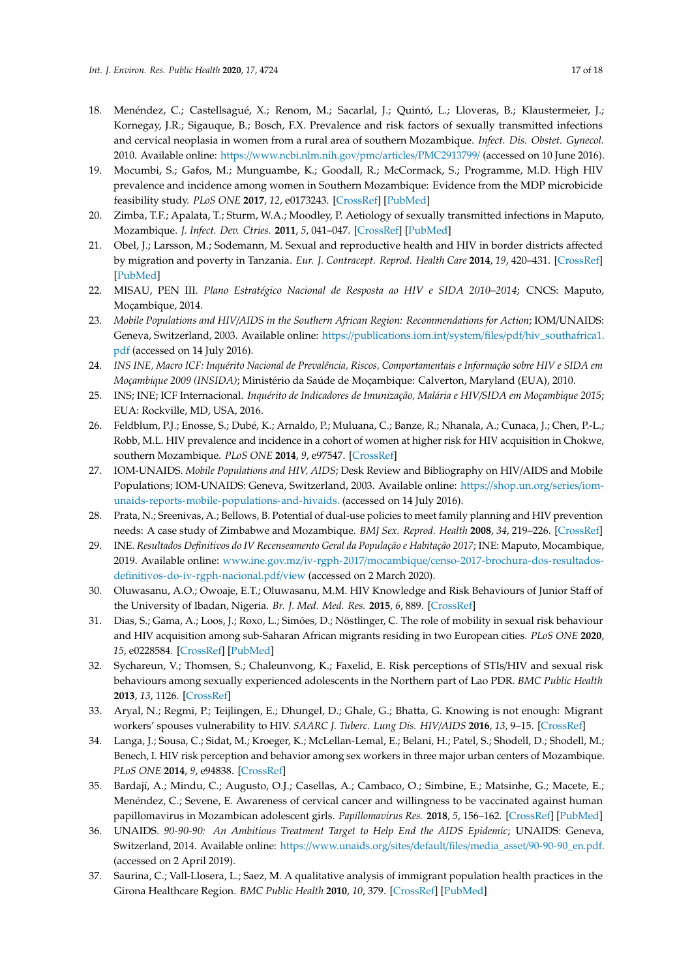- <span id="page-16-0"></span>18. Menéndez, C.; Castellsagué, X.; Renom, M.; Sacarlal, J.; Quintó, L.; Lloveras, B.; Klaustermeier, J.; Kornegay, J.R.; Sigauque, B.; Bosch, F.X. Prevalence and risk factors of sexually transmitted infections and cervical neoplasia in women from a rural area of southern Mozambique. *Infect. Dis. Obstet. Gynecol.* 2010. Available online: https://[www.ncbi.nlm.nih.gov](https://www.ncbi.nlm.nih.gov/pmc/articles/PMC2913799/)/pmc/articles/PMC2913799/ (accessed on 10 June 2016).
- <span id="page-16-1"></span>19. Mocumbi, S.; Gafos, M.; Munguambe, K.; Goodall, R.; McCormack, S.; Programme, M.D. High HIV prevalence and incidence among women in Southern Mozambique: Evidence from the MDP microbicide feasibility study. *PLoS ONE* **2017**, *12*, e0173243. [\[CrossRef\]](http://dx.doi.org/10.1371/journal.pone.0173243) [\[PubMed\]](http://www.ncbi.nlm.nih.gov/pubmed/28350843)
- <span id="page-16-2"></span>20. Zimba, T.F.; Apalata, T.; Sturm, W.A.; Moodley, P. Aetiology of sexually transmitted infections in Maputo, Mozambique. *J. Infect. Dev. Ctries.* **2011**, *5*, 041–047. [\[CrossRef\]](http://dx.doi.org/10.3855/jidc.1179) [\[PubMed\]](http://www.ncbi.nlm.nih.gov/pubmed/21330739)
- <span id="page-16-3"></span>21. Obel, J.; Larsson, M.; Sodemann, M. Sexual and reproductive health and HIV in border districts affected by migration and poverty in Tanzania. *Eur. J. Contracept. Reprod. Health Care* **2014**, *19*, 420–431. [\[CrossRef\]](http://dx.doi.org/10.3109/13625187.2014.944639) [\[PubMed\]](http://www.ncbi.nlm.nih.gov/pubmed/25112145)
- <span id="page-16-4"></span>22. MISAU, PEN III. *Plano Estratégico Nacional de Resposta ao HIV e SIDA 2010–2014*; CNCS: Maputo, Moçambique, 2014.
- <span id="page-16-5"></span>23. *Mobile Populations and HIV*/*AIDS in the Southern African Region: Recommendations for Action*; IOM/UNAIDS: Geneva, Switzerland, 2003. Available online: https://[publications.iom.int](https://publications.iom.int/system/files/pdf/hiv_southafrica1.pdf)/system/files/pdf/hiv\_southafrica1. [pdf](https://publications.iom.int/system/files/pdf/hiv_southafrica1.pdf) (accessed on 14 July 2016).
- <span id="page-16-6"></span>24. *INS INE, Macro ICF: Inquérito Nacional de Prevalência, Riscos, Comportamentais e Informação sobre HIV e SIDA em Moçambique 2009 (INSIDA)*; Ministério da Saúde de Moçambique: Calverton, Maryland (EUA), 2010.
- <span id="page-16-7"></span>25. INS; INE; ICF Internacional. *Inquérito de Indicadores de Imunização, Malária e HIV*/*SIDA em Moçambique 2015*; EUA: Rockville, MD, USA, 2016.
- <span id="page-16-8"></span>26. Feldblum, P.J.; Enosse, S.; Dubé, K.; Arnaldo, P.; Muluana, C.; Banze, R.; Nhanala, A.; Cunaca, J.; Chen, P.-L.; Robb, M.L. HIV prevalence and incidence in a cohort of women at higher risk for HIV acquisition in Chokwe, southern Mozambique. *PLoS ONE* **2014**, *9*, e97547. [\[CrossRef\]](http://dx.doi.org/10.1371/journal.pone.0097547)
- <span id="page-16-9"></span>27. IOM-UNAIDS. *Mobile Populations and HIV, AIDS*; Desk Review and Bibliography on HIV/AIDS and Mobile Populations; IOM-UNAIDS: Geneva, Switzerland, 2003. Available online: https://[shop.un.org](https://shop.un.org/series/iom-unaids-reports-mobile-populations-and-hivaids.)/series/iom[unaids-reports-mobile-populations-and-hivaids.](https://shop.un.org/series/iom-unaids-reports-mobile-populations-and-hivaids.) (accessed on 14 July 2016).
- <span id="page-16-10"></span>28. Prata, N.; Sreenivas, A.; Bellows, B. Potential of dual-use policies to meet family planning and HIV prevention needs: A case study of Zimbabwe and Mozambique. *BMJ Sex. Reprod. Health* **2008**, *34*, 219–226. [\[CrossRef\]](http://dx.doi.org/10.1783/147118908786000406)
- <span id="page-16-11"></span>29. INE. *Resultados Definitivos do IV Recenseamento Geral da População e Habitação 2017*; INE: Maputo, Mocambique, 2019. Available online: www.ine.gov.mz/iv-rgph-2017/mocambique/[censo-2017-brochura-dos-resultados](www.ine.gov.mz/iv-rgph-2017/mocambique/censo-2017-brochura-dos-resultados-definitivos-do-iv-rgph-nacional.pdf/view)[definitivos-do-iv-rgph-nacional.pdf](www.ine.gov.mz/iv-rgph-2017/mocambique/censo-2017-brochura-dos-resultados-definitivos-do-iv-rgph-nacional.pdf/view)/view (accessed on 2 March 2020).
- <span id="page-16-12"></span>30. Oluwasanu, A.O.; Owoaje, E.T.; Oluwasanu, M.M. HIV Knowledge and Risk Behaviours of Junior Staff of the University of Ibadan, Nigeria. *Br. J. Med. Med. Res.* **2015**, *6*, 889. [\[CrossRef\]](http://dx.doi.org/10.9734/BJMMR/2015/14562)
- <span id="page-16-13"></span>31. Dias, S.; Gama, A.; Loos, J.; Roxo, L.; Simões, D.; Nöstlinger, C. The role of mobility in sexual risk behaviour and HIV acquisition among sub-Saharan African migrants residing in two European cities. *PLoS ONE* **2020**, *15*, e0228584. [\[CrossRef\]](http://dx.doi.org/10.1371/journal.pone.0228584) [\[PubMed\]](http://www.ncbi.nlm.nih.gov/pubmed/32023309)
- <span id="page-16-14"></span>32. Sychareun, V.; Thomsen, S.; Chaleunvong, K.; Faxelid, E. Risk perceptions of STIs/HIV and sexual risk behaviours among sexually experienced adolescents in the Northern part of Lao PDR. *BMC Public Health* **2013**, *13*, 1126. [\[CrossRef\]](http://dx.doi.org/10.1186/1471-2458-13-1126)
- 33. Aryal, N.; Regmi, P.; Teijlingen, E.; Dhungel, D.; Ghale, G.; Bhatta, G. Knowing is not enough: Migrant workers' spouses vulnerability to HIV. *SAARC J. Tuberc. Lung Dis. HIV*/*AIDS* **2016**, *13*, 9–15. [\[CrossRef\]](http://dx.doi.org/10.3126/saarctb.v13i1.16923)
- <span id="page-16-15"></span>34. Langa, J.; Sousa, C.; Sidat, M.; Kroeger, K.; McLellan-Lemal, E.; Belani, H.; Patel, S.; Shodell, D.; Shodell, M.; Benech, I. HIV risk perception and behavior among sex workers in three major urban centers of Mozambique. *PLoS ONE* **2014**, *9*, e94838. [\[CrossRef\]](http://dx.doi.org/10.1371/journal.pone.0094838)
- <span id="page-16-16"></span>35. Bardají, A.; Mindu, C.; Augusto, O.J.; Casellas, A.; Cambaco, O.; Simbine, E.; Matsinhe, G.; Macete, E.; Menéndez, C.; Sevene, E. Awareness of cervical cancer and willingness to be vaccinated against human papillomavirus in Mozambican adolescent girls. *Papillomavirus Res.* **2018**, *5*, 156–162. [\[CrossRef\]](http://dx.doi.org/10.1016/j.pvr.2018.04.004) [\[PubMed\]](http://www.ncbi.nlm.nih.gov/pubmed/29665430)
- <span id="page-16-17"></span>36. UNAIDS. *90-90-90: An Ambitious Treatment Target to Help End the AIDS Epidemic*; UNAIDS: Geneva, Switzerland, 2014. Available online: https://[www.unaids.org](https://www.unaids.org/sites/default/files/media_asset/90-90-90_en.pdf.)/sites/default/files/media\_asset/90-90-90\_en.pdf. (accessed on 2 April 2019).
- <span id="page-16-18"></span>37. Saurina, C.; Vall-Llosera, L.; Saez, M. A qualitative analysis of immigrant population health practices in the Girona Healthcare Region. *BMC Public Health* **2010**, *10*, 379. [\[CrossRef\]](http://dx.doi.org/10.1186/1471-2458-10-379) [\[PubMed\]](http://www.ncbi.nlm.nih.gov/pubmed/20587020)